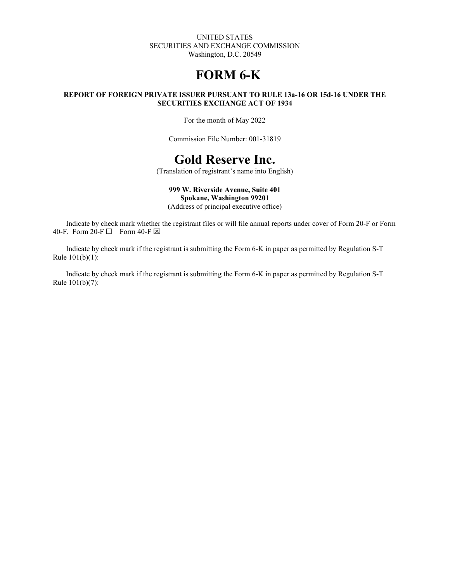#### UNITED STATES SECURITIES AND EXCHANGE COMMISSION Washington, D.C. 20549

# **FORM 6-K**

#### **REPORT OF FOREIGN PRIVATE ISSUER PURSUANT TO RULE 13a-16 OR 15d-16 UNDER THE SECURITIES EXCHANGE ACT OF 1934**

For the month of May 2022

Commission File Number: 001-31819

# **Gold Reserve Inc.**

(Translation of registrant's name into English)

## **999 W. Riverside Avenue, Suite 401**

**Spokane, Washington 99201**

(Address of principal executive office)

Indicate by check mark whether the registrant files or will file annual reports under cover of Form 20-F or Form 40-F. Form 20-F  $\Box$  Form 40-F  $\boxtimes$ 

Indicate by check mark if the registrant is submitting the Form 6-K in paper as permitted by Regulation S-T Rule 101(b)(1):

Indicate by check mark if the registrant is submitting the Form 6-K in paper as permitted by Regulation S-T Rule 101(b)(7):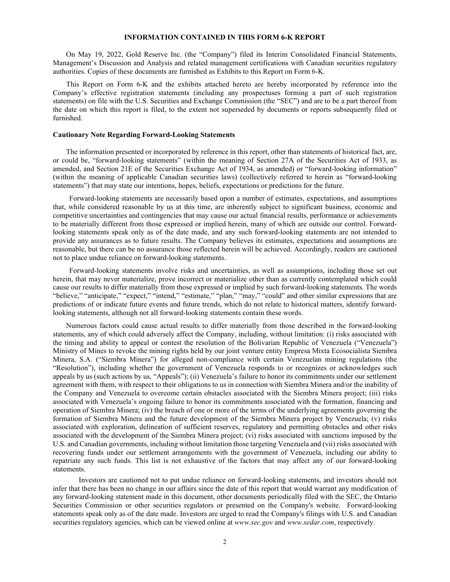#### **INFORMATION CONTAINED IN THIS FORM 6-K REPORT**

On May 19, 2022, Gold Reserve Inc. (the "Company") filed its Interim Consolidated Financial Statements, Management's Discussion and Analysis and related management certifications with Canadian securities regulatory authorities. Copies of these documents are furnished as Exhibits to this Report on Form 6-K.

This Report on Form 6-K and the exhibits attached hereto are hereby incorporated by reference into the Company's effective registration statements (including any prospectuses forming a part of such registration statements) on file with the U.S. Securities and Exchange Commission (the "SEC") and are to be a part thereof from the date on which this report is filed, to the extent not superseded by documents or reports subsequently filed or furnished.

#### **Cautionary Note Regarding Forward-Looking Statements**

The information presented or incorporated by reference in this report, other than statements of historical fact, are, or could be, "forward-looking statements" (within the meaning of Section 27A of the Securities Act of 1933, as amended, and Section 21E of the Securities Exchange Act of 1934, as amended) or "forward-looking information" (within the meaning of applicable Canadian securities laws) (collectively referred to herein as "forward-looking statements") that may state our intentions, hopes, beliefs, expectations or predictions for the future.

Forward-looking statements are necessarily based upon a number of estimates, expectations, and assumptions that, while considered reasonable by us at this time, are inherently subject to significant business, economic and competitive uncertainties and contingencies that may cause our actual financial results, performance or achievements to be materially different from those expressed or implied herein, many of which are outside our control. Forwardlooking statements speak only as of the date made, and any such forward-looking statements are not intended to provide any assurances as to future results. The Company believes its estimates, expectations and assumptions are reasonable, but there can be no assurance those reflected herein will be achieved. Accordingly, readers are cautioned not to place undue reliance on forward-looking statements.

Forward-looking statements involve risks and uncertainties, as well as assumptions, including those set out herein, that may never materialize, prove incorrect or materialize other than as currently contemplated which could cause our results to differ materially from those expressed or implied by such forward-looking statements. The words "believe," "anticipate," "expect," "intend," "estimate," "plan," "may," "could" and other similar expressions that are predictions of or indicate future events and future trends, which do not relate to historical matters, identify forwardlooking statements, although not all forward-looking statements contain these words.

Numerous factors could cause actual results to differ materially from those described in the forward-looking statements, any of which could adversely affect the Company, including, without limitation: (i) risks associated with the timing and ability to appeal or contest the resolution of the Bolivarian Republic of Venezuela ("Venezuela") Ministry of Mines to revoke the mining rights held by our joint venture entity Empresa Mixta Ecosocialista Siembra Minera, S.A. ("Siembra Minera") for alleged non-compliance with certain Venezuelan mining regulations (the "Resolution"), including whether the government of Venezuela responds to or recognizes or acknowledges such appeals by us (such actions by us, "Appeals"); (ii) Venezuela's failure to honor its commitments under our settlement agreement with them, with respect to their obligations to us in connection with Siembra Minera and/or the inability of the Company and Venezuela to overcome certain obstacles associated with the Siembra Minera project; (iii) risks associated with Venezuela's ongoing failure to honor its commitments associated with the formation, financing and operation of Siembra Minera; (iv) the breach of one or more of the terms of the underlying agreements governing the formation of Siembra Minera and the future development of the Siembra Minera project by Venezuela; (v) risks associated with exploration, delineation of sufficient reserves, regulatory and permitting obstacles and other risks associated with the development of the Siembra Minera project; (vi) risks associated with sanctions imposed by the U.S. and Canadian governments, including without limitation those targeting Venezuela and (vii) risks associated with recovering funds under our settlement arrangements with the government of Venezuela, including our ability to repatriate any such funds. This list is not exhaustive of the factors that may affect any of our forward-looking statements.

Investors are cautioned not to put undue reliance on forward-looking statements, and investors should not infer that there has been no change in our affairs since the date of this report that would warrant any modification of any forward-looking statement made in this document, other documents periodically filed with the SEC, the Ontario Securities Commission or other securities regulators or presented on the Company's website. Forward-looking statements speak only as of the date made. Investors are urged to read the Company's filings with U.S. and Canadian securities regulatory agencies, which can be viewed online at *www.sec.gov* and *www.sedar.com*, respectively.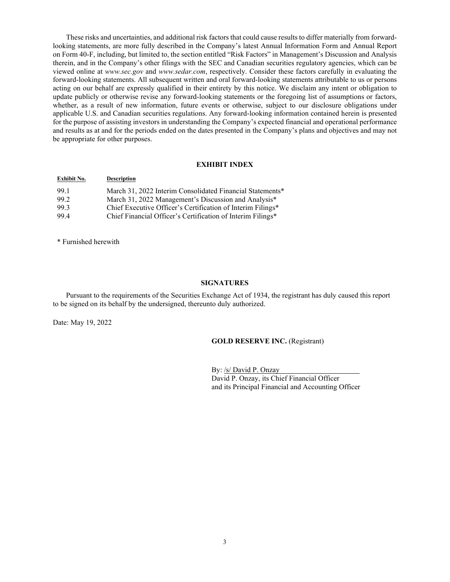These risks and uncertainties, and additional risk factors that could cause results to differ materially from forwardlooking statements, are more fully described in the Company's latest Annual Information Form and Annual Report on Form 40-F, including, but limited to, the section entitled "Risk Factors" in Management's Discussion and Analysis therein, and in the Company's other filings with the SEC and Canadian securities regulatory agencies, which can be viewed online at *www.sec.gov* and *www.sedar.com*, respectively. Consider these factors carefully in evaluating the forward-looking statements. All subsequent written and oral forward-looking statements attributable to us or persons acting on our behalf are expressly qualified in their entirety by this notice. We disclaim any intent or obligation to update publicly or otherwise revise any forward-looking statements or the foregoing list of assumptions or factors, whether, as a result of new information, future events or otherwise, subject to our disclosure obligations under applicable U.S. and Canadian securities regulations. Any forward-looking information contained herein is presented for the purpose of assisting investors in understanding the Company's expected financial and operational performance and results as at and for the periods ended on the dates presented in the Company's plans and objectives and may not be appropriate for other purposes.

#### **EXHIBIT INDEX**

| Exhibit No. | <b>Description</b>                                          |
|-------------|-------------------------------------------------------------|
| 99.1        | March 31, 2022 Interim Consolidated Financial Statements*   |
| 99.2        | March 31, 2022 Management's Discussion and Analysis*        |
| 99.3        | Chief Executive Officer's Certification of Interim Filings* |
| 99.4        | Chief Financial Officer's Certification of Interim Filings* |
|             |                                                             |

\* Furnished herewith

#### **SIGNATURES**

Pursuant to the requirements of the Securities Exchange Act of 1934, the registrant has duly caused this report to be signed on its behalf by the undersigned, thereunto duly authorized.

Date: May 19, 2022

#### **GOLD RESERVE INC.** (Registrant)

By: /s/ David P. Onzay David P. Onzay, its Chief Financial Officer and its Principal Financial and Accounting Officer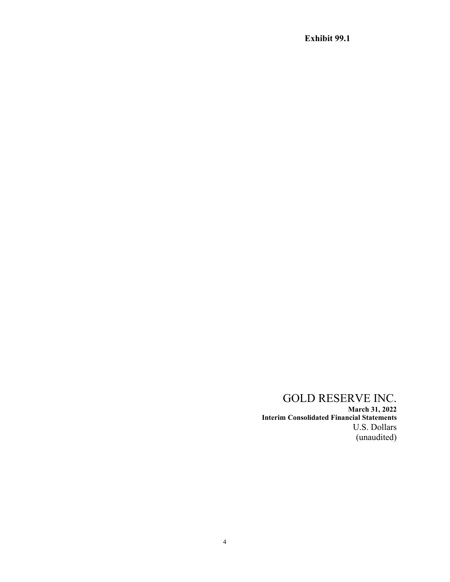# GOLD RESERVE INC.

**March 31, 2022 Interim Consolidated Financial Statements** U.S. Dollars (unaudited)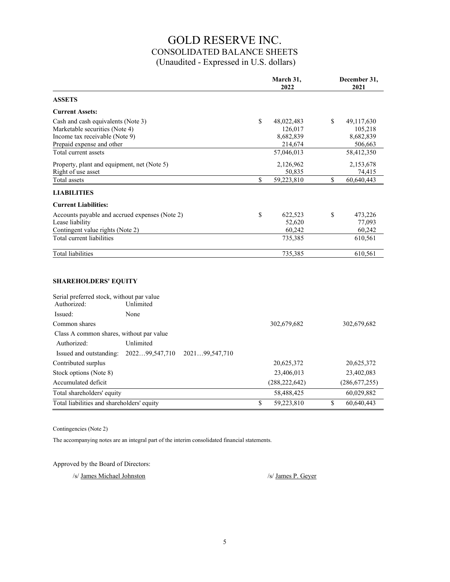# GOLD RESERVE INC. CONSOLIDATED BALANCE SHEETS (Unaudited - Expressed in U.S. dollars)

|                                                                                                                                                             |                                               | March 31,<br>2022                                                 | December 31,<br>2021                                              |
|-------------------------------------------------------------------------------------------------------------------------------------------------------------|-----------------------------------------------|-------------------------------------------------------------------|-------------------------------------------------------------------|
| <b>ASSETS</b>                                                                                                                                               |                                               |                                                                   |                                                                   |
| <b>Current Assets:</b>                                                                                                                                      |                                               |                                                                   |                                                                   |
| Cash and cash equivalents (Note 3)<br>Marketable securities (Note 4)<br>Income tax receivable (Note 9)<br>Prepaid expense and other<br>Total current assets |                                               | \$<br>48,022,483<br>126,017<br>8,682,839<br>214,674<br>57,046,013 | \$<br>49,117,630<br>105,218<br>8,682,839<br>506,663<br>58,412,350 |
| Property, plant and equipment, net (Note 5)<br>Right of use asset                                                                                           |                                               | 2,126,962<br>50,835                                               | 2,153,678<br>74,415                                               |
| Total assets                                                                                                                                                |                                               | \$<br>59,223,810                                                  | \$<br>60,640,443                                                  |
| <b>LIABILITIES</b>                                                                                                                                          |                                               |                                                                   |                                                                   |
| <b>Current Liabilities:</b>                                                                                                                                 |                                               |                                                                   |                                                                   |
| Accounts payable and accrued expenses (Note 2)<br>Lease liability<br>Contingent value rights (Note 2)<br>Total current liabilities                          |                                               | \$<br>622,523<br>52,620<br>60,242<br>735,385                      | \$<br>473,226<br>77,093<br>60,242<br>610,561                      |
| <b>Total liabilities</b>                                                                                                                                    |                                               | 735,385                                                           | 610,561                                                           |
| <b>SHAREHOLDERS' EQUITY</b><br>Serial preferred stock, without par value<br>Authorized:                                                                     | Unlimited                                     |                                                                   |                                                                   |
| Issued:                                                                                                                                                     | None                                          |                                                                   |                                                                   |
| Common shares                                                                                                                                               |                                               | 302,679,682                                                       | 302,679,682                                                       |
| Class A common shares, without par value<br>Authorized:<br>Issued and outstanding:                                                                          | Unlimited<br>202299,547,710<br>202199,547,710 |                                                                   |                                                                   |
| Contributed surplus                                                                                                                                         |                                               | 20,625,372                                                        | 20,625,372                                                        |
| Stock options (Note 8)                                                                                                                                      |                                               | 23,406,013                                                        | 23,402,083                                                        |
| Accumulated deficit                                                                                                                                         |                                               | (288, 222, 642)                                                   | (286, 677, 255)                                                   |
| Total shareholders' equity                                                                                                                                  |                                               | 58,488,425                                                        | 60,029,882                                                        |
| Total liabilities and shareholders' equity                                                                                                                  |                                               | \$<br>59,223,810                                                  | \$<br>60.640.443                                                  |

Contingencies (Note 2)

The accompanying notes are an integral part of the interim consolidated financial statements.

Approved by the Board of Directors:

/s/ James Michael Johnston /s/ James P. Geyer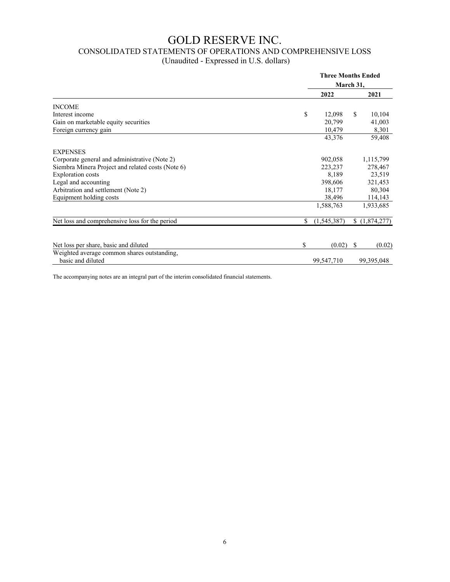# GOLD RESERVE INC.

# CONSOLIDATED STATEMENTS OF OPERATIONS AND COMPREHENSIVE LOSS

| (Unaudited - Expressed in U.S. dollars) |  |
|-----------------------------------------|--|
|-----------------------------------------|--|

|                                                   |    | <b>Three Months Ended</b><br>March 31, |              |  |  |
|---------------------------------------------------|----|----------------------------------------|--------------|--|--|
|                                                   |    |                                        |              |  |  |
|                                                   |    | 2022                                   | 2021         |  |  |
| <b>INCOME</b>                                     |    |                                        |              |  |  |
| Interest income                                   | \$ | 12,098                                 | \$<br>10,104 |  |  |
| Gain on marketable equity securities              |    | 20,799                                 | 41,003       |  |  |
| Foreign currency gain                             |    | 10,479                                 | 8,301        |  |  |
|                                                   |    | 43,376                                 | 59,408       |  |  |
| <b>EXPENSES</b>                                   |    |                                        |              |  |  |
| Corporate general and administrative (Note 2)     |    | 902,058                                | 1,115,799    |  |  |
| Siembra Minera Project and related costs (Note 6) |    | 223,237                                | 278,467      |  |  |
| <b>Exploration</b> costs                          |    | 8,189                                  | 23,519       |  |  |
| Legal and accounting                              |    | 398,606                                | 321,453      |  |  |
| Arbitration and settlement (Note 2)               |    | 18,177                                 | 80,304       |  |  |
| Equipment holding costs                           |    | 38,496                                 | 114,143      |  |  |
|                                                   |    | 1,588,763                              | 1,933,685    |  |  |
| Net loss and comprehensive loss for the period    | \$ | (1,545,387)                            | (1,874,277)  |  |  |
|                                                   |    |                                        |              |  |  |
| Net loss per share, basic and diluted             | \$ | (0.02)                                 | S<br>(0.02)  |  |  |
| Weighted average common shares outstanding,       |    |                                        |              |  |  |
| basic and diluted                                 |    | 99,547,710                             | 99,395,048   |  |  |

The accompanying notes are an integral part of the interim consolidated financial statements.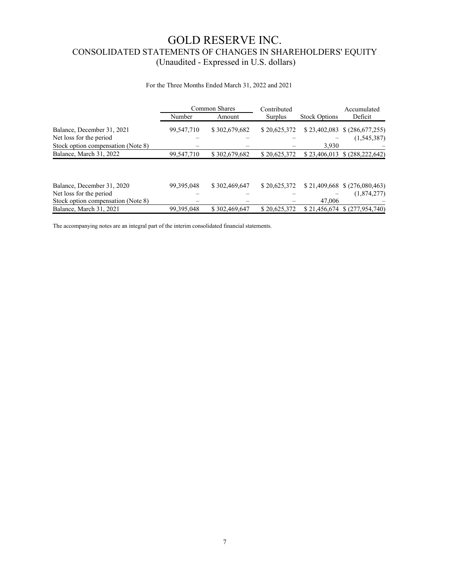# GOLD RESERVE INC. CONSOLIDATED STATEMENTS OF CHANGES IN SHAREHOLDERS' EQUITY (Unaudited - Expressed in U.S. dollars)

#### For the Three Months Ended March 31, 2022 and 2021

|                                                       | <b>Common Shares</b> |               | Contributed  | Accumulated          |                                               |
|-------------------------------------------------------|----------------------|---------------|--------------|----------------------|-----------------------------------------------|
|                                                       | Number               | Amount        | Surplus      | <b>Stock Options</b> | Deficit                                       |
| Balance, December 31, 2021<br>Net loss for the period | 99,547,710           | \$302,679,682 | \$20,625,372 |                      | $$23,402,083 \$ (286,677,255)$<br>(1,545,387) |
| Stock option compensation (Note 8)                    |                      |               |              | 3.930                |                                               |
| Balance, March 31, 2022                               | 99,547,710           | \$302,679,682 | \$20,625,372 | \$23,406,013         | \$ (288, 222, 642)                            |
|                                                       |                      |               |              |                      |                                               |
| Balance, December 31, 2020                            | 99, 395, 048         | \$302,469,647 | \$20,625,372 |                      | $$21,409,668 \$ (276,080,463)$                |
| Net loss for the period                               |                      |               |              |                      | (1,874,277)                                   |
| Stock option compensation (Note 8)                    |                      |               |              | 47,006               |                                               |
| Balance, March 31, 2021                               | 99, 395, 048         | \$302,469,647 | \$20,625,372 | \$21,456,674         | \$(277,954,740)                               |

The accompanying notes are an integral part of the interim consolidated financial statements.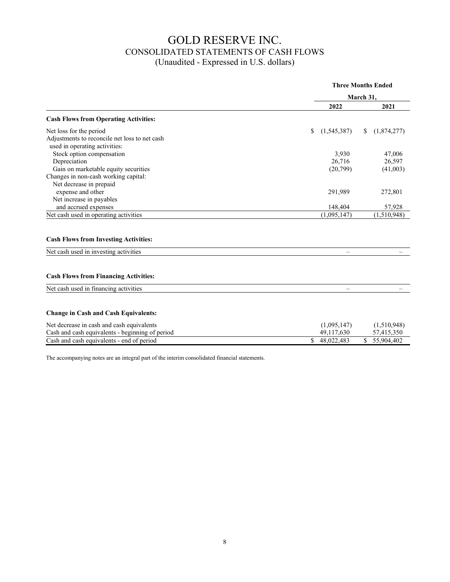# GOLD RESERVE INC. CONSOLIDATED STATEMENTS OF CASH FLOWS (Unaudited - Expressed in U.S. dollars)

|                                                                                |                     | <b>Three Months Ended</b> |
|--------------------------------------------------------------------------------|---------------------|---------------------------|
|                                                                                |                     | March 31,                 |
|                                                                                | 2022                | 2021                      |
| <b>Cash Flows from Operating Activities:</b>                                   |                     |                           |
| Net loss for the period                                                        | (1, 545, 387)<br>\$ | (1,874,277)<br>\$         |
| Adjustments to reconcile net loss to net cash<br>used in operating activities: |                     |                           |
| Stock option compensation                                                      | 3,930               | 47,006                    |
| Depreciation                                                                   | 26,716              | 26,597                    |
| Gain on marketable equity securities                                           | (20,799)            | (41,003)                  |
| Changes in non-cash working capital:                                           |                     |                           |
| Net decrease in prepaid                                                        |                     |                           |
| expense and other                                                              | 291,989             | 272,801                   |
| Net increase in payables                                                       |                     |                           |
| and accrued expenses                                                           | 148,404             | 57,928                    |
| Net cash used in operating activities                                          | (1,095,147)         | (1,510,948)               |
| <b>Cash Flows from Investing Activities:</b>                                   |                     |                           |
| Net cash used in investing activities                                          |                     |                           |
| <b>Cash Flows from Financing Activities:</b>                                   |                     |                           |
| Net cash used in financing activities                                          |                     |                           |
|                                                                                |                     |                           |
| <b>Change in Cash and Cash Equivalents:</b>                                    |                     |                           |
| Net decrease in cash and cash equivalents                                      | (1.005, 147)        | (1.510048)                |

| Net decrease in cash and cash equivalents       | (1,095,147) | (1,510,948) |
|-------------------------------------------------|-------------|-------------|
| Cash and cash equivalents - beginning of period | 49.117.630  | 57.415.350  |
| Cash and cash equivalents - end of period       | 48.022.483  | 55.904.402  |

The accompanying notes are an integral part of the interim consolidated financial statements.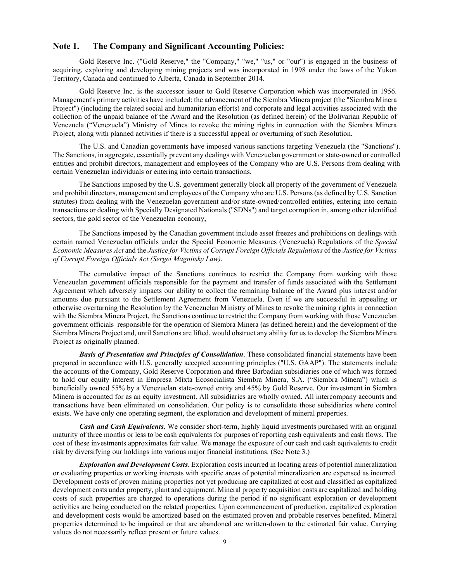### **Note 1. The Company and Significant Accounting Policies:**

Gold Reserve Inc. ("Gold Reserve," the "Company," "we," "us," or "our") is engaged in the business of acquiring, exploring and developing mining projects and was incorporated in 1998 under the laws of the Yukon Territory, Canada and continued to Alberta, Canada in September 2014.

Gold Reserve Inc. is the successor issuer to Gold Reserve Corporation which was incorporated in 1956. Management's primary activities have included: the advancement of the Siembra Minera project (the "Siembra Minera Project") (including the related social and humanitarian efforts) and corporate and legal activities associated with the collection of the unpaid balance of the Award and the Resolution (as defined herein) of the Bolivarian Republic of Venezuela ("Venezuela") Ministry of Mines to revoke the mining rights in connection with the Siembra Minera Project, along with planned activities if there is a successful appeal or overturning of such Resolution.

The U.S. and Canadian governments have imposed various sanctions targeting Venezuela (the "Sanctions"). The Sanctions, in aggregate, essentially prevent any dealings with Venezuelan government or state-owned or controlled entities and prohibit directors, management and employees of the Company who are U.S. Persons from dealing with certain Venezuelan individuals or entering into certain transactions.

The Sanctions imposed by the U.S. government generally block all property of the government of Venezuela and prohibit directors, management and employees of the Company who are U.S. Persons (as defined by U.S. Sanction statutes) from dealing with the Venezuelan government and/or state-owned/controlled entities, entering into certain transactions or dealing with Specially Designated Nationals ("SDNs") and target corruption in, among other identified sectors, the gold sector of the Venezuelan economy,

The Sanctions imposed by the Canadian government include asset freezes and prohibitions on dealings with certain named Venezuelan officials under the Special Economic Measures (Venezuela) Regulations of the *Special Economic Measures Act* and the *Justice for Victims of Corrupt Foreign Officials Regulations* of the *Justice for Victims of Corrupt Foreign Officials Act (Sergei Magnitsky Law)*,

The cumulative impact of the Sanctions continues to restrict the Company from working with those Venezuelan government officials responsible for the payment and transfer of funds associated with the Settlement Agreement which adversely impacts our ability to collect the remaining balance of the Award plus interest and/or amounts due pursuant to the Settlement Agreement from Venezuela. Even if we are successful in appealing or otherwise overturning the Resolution by the Venezuelan Ministry of Mines to revoke the mining rights in connection with the Siembra Minera Project, the Sanctions continue to restrict the Company from working with those Venezuelan government officials responsible for the operation of Siembra Minera (as defined herein) and the development of the Siembra Minera Project and, until Sanctions are lifted, would obstruct any ability for us to develop the Siembra Minera Project as originally planned.

*Basis of Presentation and Principles of Consolidation*. These consolidated financial statements have been prepared in accordance with U.S. generally accepted accounting principles ("U.S. GAAP"). The statements include the accounts of the Company, Gold Reserve Corporation and three Barbadian subsidiaries one of which was formed to hold our equity interest in Empresa Mixta Ecosocialista Siembra Minera, S.A. ("Siembra Minera") which is beneficially owned 55% by a Venezuelan state-owned entity and 45% by Gold Reserve. Our investment in Siembra Minera is accounted for as an equity investment. All subsidiaries are wholly owned. All intercompany accounts and transactions have been eliminated on consolidation. Our policy is to consolidate those subsidiaries where control exists. We have only one operating segment, the exploration and development of mineral properties.

*Cash and Cash Equivalents*. We consider short-term, highly liquid investments purchased with an original maturity of three months or less to be cash equivalents for purposes of reporting cash equivalents and cash flows. The cost of these investments approximates fair value. We manage the exposure of our cash and cash equivalents to credit risk by diversifying our holdings into various major financial institutions. (See Note 3.)

*Exploration and Development Costs*. Exploration costs incurred in locating areas of potential mineralization or evaluating properties or working interests with specific areas of potential mineralization are expensed as incurred. Development costs of proven mining properties not yet producing are capitalized at cost and classified as capitalized development costs under property, plant and equipment. Mineral property acquisition costs are capitalized and holding costs of such properties are charged to operations during the period if no significant exploration or development activities are being conducted on the related properties. Upon commencement of production, capitalized exploration and development costs would be amortized based on the estimated proven and probable reserves benefited. Mineral properties determined to be impaired or that are abandoned are written-down to the estimated fair value. Carrying values do not necessarily reflect present or future values.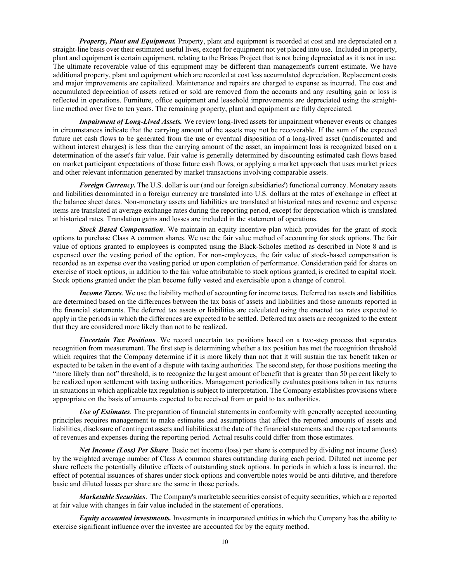*Property, Plant and Equipment.* Property, plant and equipment is recorded at cost and are depreciated on a straight-line basis over their estimated useful lives, except for equipment not yet placed into use.Included in property, plant and equipment is certain equipment, relating to the Brisas Project that is not being depreciated as it is not in use. The ultimate recoverable value of this equipment may be different than management's current estimate. We have additional property, plant and equipment which are recorded at cost less accumulated depreciation. Replacement costs and major improvements are capitalized. Maintenance and repairs are charged to expense as incurred. The cost and accumulated depreciation of assets retired or sold are removed from the accounts and any resulting gain or loss is reflected in operations. Furniture, office equipment and leasehold improvements are depreciated using the straightline method over five to ten years. The remaining property, plant and equipment are fully depreciated.

*Impairment of Long-Lived Assets.* We review long-lived assets for impairment whenever events or changes in circumstances indicate that the carrying amount of the assets may not be recoverable. If the sum of the expected future net cash flows to be generated from the use or eventual disposition of a long-lived asset (undiscounted and without interest charges) is less than the carrying amount of the asset, an impairment loss is recognized based on a determination of the asset's fair value. Fair value is generally determined by discounting estimated cash flows based on market participant expectations of those future cash flows, or applying a market approach that uses market prices and other relevant information generated by market transactions involving comparable assets.

*Foreign Currency.* The U.S. dollar is our (and our foreign subsidiaries') functional currency. Monetary assets and liabilities denominated in a foreign currency are translated into U.S. dollars at the rates of exchange in effect at the balance sheet dates. Non-monetary assets and liabilities are translated at historical rates and revenue and expense items are translated at average exchange rates during the reporting period, except for depreciation which is translated at historical rates. Translation gains and losses are included in the statement of operations.

*Stock Based Compensation*. We maintain an equity incentive plan which provides for the grant of stock options to purchase Class A common shares. We use the fair value method of accounting for stock options. The fair value of options granted to employees is computed using the Black-Scholes method as described in Note 8 and is expensed over the vesting period of the option. For non-employees, the fair value of stock-based compensation is recorded as an expense over the vesting period or upon completion of performance. Consideration paid for shares on exercise of stock options, in addition to the fair value attributable to stock options granted, is credited to capital stock. Stock options granted under the plan become fully vested and exercisable upon a change of control.

*Income Taxes*. We use the liability method of accounting for income taxes. Deferred tax assets and liabilities are determined based on the differences between the tax basis of assets and liabilities and those amounts reported in the financial statements. The deferred tax assets or liabilities are calculated using the enacted tax rates expected to apply in the periods in which the differences are expected to be settled. Deferred tax assets are recognized to the extent that they are considered more likely than not to be realized.

*Uncertain Tax Positions*. We record uncertain tax positions based on a two-step process that separates recognition from measurement. The first step is determining whether a tax position has met the recognition threshold which requires that the Company determine if it is more likely than not that it will sustain the tax benefit taken or expected to be taken in the event of a dispute with taxing authorities. The second step, for those positions meeting the "more likely than not" threshold, is to recognize the largest amount of benefit that is greater than 50 percent likely to be realized upon settlement with taxing authorities. Management periodically evaluates positions taken in tax returns in situations in which applicable tax regulation is subject to interpretation. The Company establishes provisions where appropriate on the basis of amounts expected to be received from or paid to tax authorities.

*Use of Estimates*. The preparation of financial statements in conformity with generally accepted accounting principles requires management to make estimates and assumptions that affect the reported amounts of assets and liabilities, disclosure of contingent assets and liabilities at the date of the financial statements and the reported amounts of revenues and expenses during the reporting period. Actual results could differ from those estimates.

*Net Income (Loss) Per Share*. Basic net income (loss) per share is computed by dividing net income (loss) by the weighted average number of Class A common shares outstanding during each period. Diluted net income per share reflects the potentially dilutive effects of outstanding stock options. In periods in which a loss is incurred, the effect of potential issuances of shares under stock options and convertible notes would be anti-dilutive, and therefore basic and diluted losses per share are the same in those periods.

*Marketable Securities*. The Company's marketable securities consist of equity securities, which are reported at fair value with changes in fair value included in the statement of operations.

*Equity accounted investments.* Investments in incorporated entities in which the Company has the ability to exercise significant influence over the investee are accounted for by the equity method.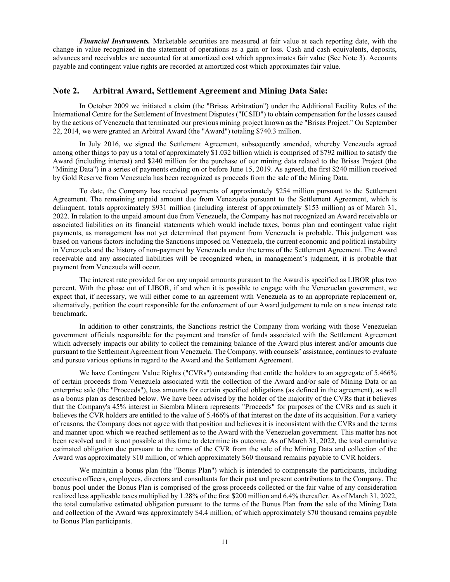*Financial Instruments.* Marketable securities are measured at fair value at each reporting date, with the change in value recognized in the statement of operations as a gain or loss. Cash and cash equivalents, deposits, advances and receivables are accounted for at amortized cost which approximates fair value (See Note 3). Accounts payable and contingent value rights are recorded at amortized cost which approximates fair value.

### **Note 2. Arbitral Award, Settlement Agreement and Mining Data Sale:**

In October 2009 we initiated a claim (the "Brisas Arbitration") under the Additional Facility Rules of the International Centre for the Settlement of Investment Disputes ("ICSID") to obtain compensation for the losses caused by the actions of Venezuela that terminated our previous mining project known as the "Brisas Project." On September 22, 2014, we were granted an Arbitral Award (the "Award") totaling \$740.3 million.

In July 2016, we signed the Settlement Agreement, subsequently amended, whereby Venezuela agreed among other things to pay us a total of approximately \$1.032 billion which is comprised of \$792 million to satisfy the Award (including interest) and \$240 million for the purchase of our mining data related to the Brisas Project (the "Mining Data") in a series of payments ending on or before June 15, 2019. As agreed, the first \$240 million received by Gold Reserve from Venezuela has been recognized as proceeds from the sale of the Mining Data.

To date, the Company has received payments of approximately \$254 million pursuant to the Settlement Agreement. The remaining unpaid amount due from Venezuela pursuant to the Settlement Agreement, which is delinquent, totals approximately \$931 million (including interest of approximately \$153 million) as of March 31, 2022. In relation to the unpaid amount due from Venezuela, the Company has not recognized an Award receivable or associated liabilities on its financial statements which would include taxes, bonus plan and contingent value right payments, as management has not yet determined that payment from Venezuela is probable. This judgement was based on various factors including the Sanctions imposed on Venezuela, the current economic and political instability in Venezuela and the history of non-payment by Venezuela under the terms of the Settlement Agreement. The Award receivable and any associated liabilities will be recognized when, in management's judgment, it is probable that payment from Venezuela will occur.

The interest rate provided for on any unpaid amounts pursuant to the Award is specified as LIBOR plus two percent. With the phase out of LIBOR, if and when it is possible to engage with the Venezuelan government, we expect that, if necessary, we will either come to an agreement with Venezuela as to an appropriate replacement or, alternatively, petition the court responsible for the enforcement of our Award judgement to rule on a new interest rate benchmark.

In addition to other constraints, the Sanctions restrict the Company from working with those Venezuelan government officials responsible for the payment and transfer of funds associated with the Settlement Agreement which adversely impacts our ability to collect the remaining balance of the Award plus interest and/or amounts due pursuant to the Settlement Agreement from Venezuela. The Company, with counsels' assistance, continues to evaluate and pursue various options in regard to the Award and the Settlement Agreement.

We have Contingent Value Rights ("CVRs") outstanding that entitle the holders to an aggregate of 5.466% of certain proceeds from Venezuela associated with the collection of the Award and/or sale of Mining Data or an enterprise sale (the "Proceeds"), less amounts for certain specified obligations (as defined in the agreement), as well as a bonus plan as described below. We have been advised by the holder of the majority of the CVRs that it believes that the Company's 45% interest in Siembra Minera represents "Proceeds" for purposes of the CVRs and as such it believes the CVR holders are entitled to the value of 5.466% of that interest on the date of its acquisition. For a variety of reasons, the Company does not agree with that position and believes it is inconsistent with the CVRs and the terms and manner upon which we reached settlement as to the Award with the Venezuelan government. This matter has not been resolved and it is not possible at this time to determine its outcome. As of March 31, 2022, the total cumulative estimated obligation due pursuant to the terms of the CVR from the sale of the Mining Data and collection of the Award was approximately \$10 million, of which approximately \$60 thousand remains payable to CVR holders.

We maintain a bonus plan (the "Bonus Plan") which is intended to compensate the participants, including executive officers, employees, directors and consultants for their past and present contributions to the Company. The bonus pool under the Bonus Plan is comprised of the gross proceeds collected or the fair value of any consideration realized less applicable taxes multiplied by 1.28% of the first \$200 million and 6.4% thereafter. As of March 31, 2022, the total cumulative estimated obligation pursuant to the terms of the Bonus Plan from the sale of the Mining Data and collection of the Award was approximately \$4.4 million, of which approximately \$70 thousand remains payable to Bonus Plan participants.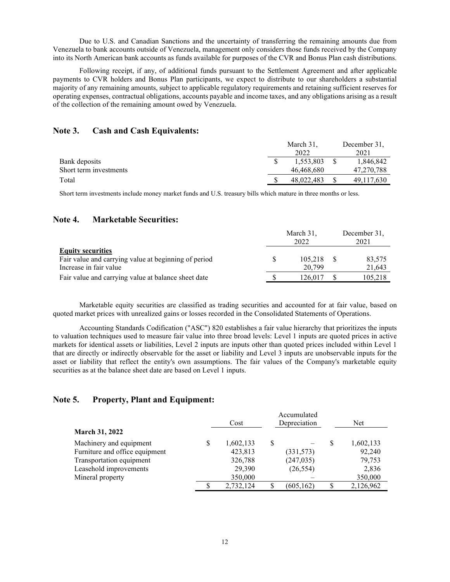Due to U.S. and Canadian Sanctions and the uncertainty of transferring the remaining amounts due from Venezuela to bank accounts outside of Venezuela, management only considers those funds received by the Company into its North American bank accounts as funds available for purposes of the CVR and Bonus Plan cash distributions.

Following receipt, if any, of additional funds pursuant to the Settlement Agreement and after applicable payments to CVR holders and Bonus Plan participants, we expect to distribute to our shareholders a substantial majority of any remaining amounts, subject to applicable regulatory requirements and retaining sufficient reserves for operating expenses, contractual obligations, accounts payable and income taxes, and any obligations arising as a result of the collection of the remaining amount owed by Venezuela.

### **Note 3. Cash and Cash Equivalents:**

|                        | March 31.  | December 31, |
|------------------------|------------|--------------|
|                        | 2022       | 2021         |
| Bank deposits          | 1,553,803  | 1,846,842    |
| Short term investments | 46.468.680 | 47,270,788   |
| Total                  | 48,022,483 | 49.117.630   |

Short term investments include money market funds and U.S. treasury bills which mature in three months or less.

## **Note 4. Marketable Securities:**

|                                                      | March 31,<br>2022 | December 31,<br>2021 |
|------------------------------------------------------|-------------------|----------------------|
| <b>Equity securities</b>                             |                   |                      |
| Fair value and carrying value at beginning of period | 105.218           | 83,575               |
| Increase in fair value                               | 20,799            | 21,643               |
| Fair value and carrying value at balance sheet date  | 126.017           | 105,218              |

Marketable equity securities are classified as trading securities and accounted for at fair value, based on quoted market prices with unrealized gains or losses recorded in the Consolidated Statements of Operations.

Accounting Standards Codification ("ASC") 820 establishes a fair value hierarchy that prioritizes the inputs to valuation techniques used to measure fair value into three broad levels: Level 1 inputs are quoted prices in active markets for identical assets or liabilities, Level 2 inputs are inputs other than quoted prices included within Level 1 that are directly or indirectly observable for the asset or liability and Level 3 inputs are unobservable inputs for the asset or liability that reflect the entity's own assumptions. The fair values of the Company's marketable equity securities as at the balance sheet date are based on Level 1 inputs.

## **Note 5. Property, Plant and Equipment:**

|                                |    | Accumulated<br>Depreciation<br>Cost |   |            | <b>Net</b> |           |  |
|--------------------------------|----|-------------------------------------|---|------------|------------|-----------|--|
| <b>March 31, 2022</b>          |    |                                     |   |            |            |           |  |
| Machinery and equipment        | \$ | 1,602,133                           | S |            | S          | 1,602,133 |  |
| Furniture and office equipment |    | 423,813                             |   | (331,573)  |            | 92,240    |  |
| Transportation equipment       |    | 326,788                             |   | (247, 035) |            | 79,753    |  |
| Leasehold improvements         |    | 29,390                              |   | (26, 554)  |            | 2,836     |  |
| Mineral property               |    | 350,000                             |   |            |            | 350,000   |  |
|                                | S  | 2,732,124                           |   | (605, 162) |            | 2,126,962 |  |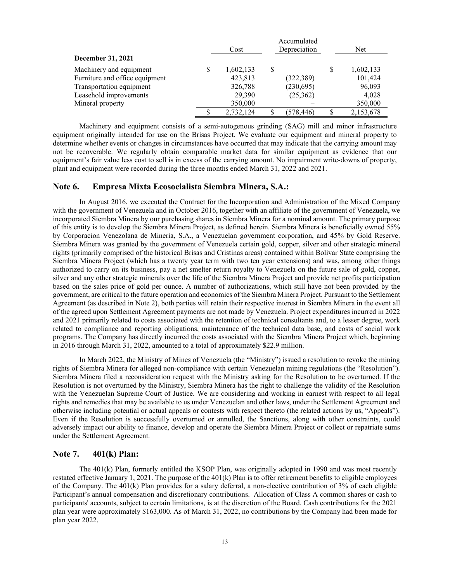|                                |   | Accumulated<br>Depreciation<br>Cost |  |            | Net       |  |  |
|--------------------------------|---|-------------------------------------|--|------------|-----------|--|--|
| December 31, 2021              |   |                                     |  |            |           |  |  |
| Machinery and equipment        | S | 1,602,133                           |  |            | 1,602,133 |  |  |
| Furniture and office equipment |   | 423,813                             |  | (322, 389) | 101,424   |  |  |
| Transportation equipment       |   | 326,788                             |  | (230,695)  | 96,093    |  |  |
| Leasehold improvements         |   | 29,390                              |  | (25,362)   | 4.028     |  |  |
| Mineral property               |   | 350,000                             |  |            | 350,000   |  |  |
|                                |   | 2,732,124                           |  | (578, 446) | 2,153,678 |  |  |

Machinery and equipment consists of a semi-autogenous grinding (SAG) mill and minor infrastructure equipment originally intended for use on the Brisas Project. We evaluate our equipment and mineral property to determine whether events or changes in circumstances have occurred that may indicate that the carrying amount may not be recoverable. We regularly obtain comparable market data for similar equipment as evidence that our equipment's fair value less cost to sell is in excess of the carrying amount. No impairment write-downs of property, plant and equipment were recorded during the three months ended March 31, 2022 and 2021.

#### **Note 6. Empresa Mixta Ecosocialista Siembra Minera, S.A.:**

In August 2016, we executed the Contract for the Incorporation and Administration of the Mixed Company with the government of Venezuela and in October 2016, together with an affiliate of the government of Venezuela, we incorporated Siembra Minera by our purchasing shares in Siembra Minera for a nominal amount. The primary purpose of this entity is to develop the Siembra Minera Project, as defined herein. Siembra Minera is beneficially owned 55% by Corporacion Venezolana de Mineria, S.A., a Venezuelan government corporation, and 45% by Gold Reserve. Siembra Minera was granted by the government of Venezuela certain gold, copper, silver and other strategic mineral rights (primarily comprised of the historical Brisas and Cristinas areas) contained within Bolivar State comprising the Siembra Minera Project (which has a twenty year term with two ten year extensions) and was, among other things authorized to carry on its business, pay a net smelter return royalty to Venezuela on the future sale of gold, copper, silver and any other strategic minerals over the life of the Siembra Minera Project and provide net profits participation based on the sales price of gold per ounce. A number of authorizations, which still have not been provided by the government, are critical to the future operation and economics of the Siembra Minera Project. Pursuant to the Settlement Agreement (as described in Note 2), both parties will retain their respective interest in Siembra Minera in the event all of the agreed upon Settlement Agreement payments are not made by Venezuela. Project expenditures incurred in 2022 and 2021 primarily related to costs associated with the retention of technical consultants and, to a lesser degree, work related to compliance and reporting obligations, maintenance of the technical data base, and costs of social work programs. The Company has directly incurred the costs associated with the Siembra Minera Project which, beginning in 2016 through March 31, 2022, amounted to a total of approximately \$22.9 million.

In March 2022, the Ministry of Mines of Venezuela (the "Ministry") issued a resolution to revoke the mining rights of Siembra Minera for alleged non-compliance with certain Venezuelan mining regulations (the "Resolution"). Siembra Minera filed a reconsideration request with the Ministry asking for the Resolution to be overturned. If the Resolution is not overturned by the Ministry, Siembra Minera has the right to challenge the validity of the Resolution with the Venezuelan Supreme Court of Justice. We are considering and working in earnest with respect to all legal rights and remedies that may be available to us under Venezuelan and other laws, under the Settlement Agreement and otherwise including potential or actual appeals or contests with respect thereto (the related actions by us, "Appeals"). Even if the Resolution is successfully overturned or annulled, the Sanctions, along with other constraints, could adversely impact our ability to finance, develop and operate the Siembra Minera Project or collect or repatriate sums under the Settlement Agreement.

#### **Note 7. 401(k) Plan:**

The 401(k) Plan, formerly entitled the KSOP Plan, was originally adopted in 1990 and was most recently restated effective January 1, 2021. The purpose of the 401(k) Plan is to offer retirement benefits to eligible employees of the Company. The 401(k) Plan provides for a salary deferral, a non-elective contribution of 3% of each eligible Participant's annual compensation and discretionary contributions. Allocation of Class A common shares or cash to participants' accounts, subject to certain limitations, is at the discretion of the Board. Cash contributions for the 2021 plan year were approximately \$163,000. As of March 31, 2022, no contributions by the Company had been made for plan year 2022.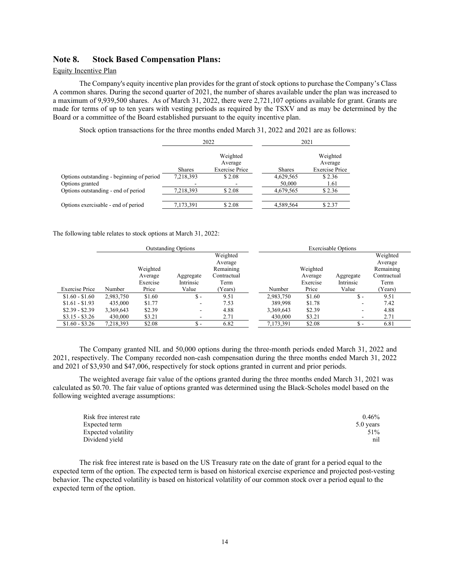#### **Note 8. Stock Based Compensation Plans:**

#### Equity Incentive Plan

The Company's equity incentive plan provides for the grant of stock options to purchase the Company's Class A common shares. During the second quarter of 2021, the number of shares available under the plan was increased to a maximum of 9,939,500 shares. As of March 31, 2022, there were 2,721,107 options available for grant. Grants are made for terms of up to ten years with vesting periods as required by the TSXV and as may be determined by the Board or a committee of the Board established pursuant to the equity incentive plan.

Stock option transactions for the three months ended March 31, 2022 and 2021 are as follows:

|                                           | 2022          |                                              | 2021          |                                              |  |
|-------------------------------------------|---------------|----------------------------------------------|---------------|----------------------------------------------|--|
|                                           | <b>Shares</b> | Weighted<br>Average<br><b>Exercise Price</b> | <b>Shares</b> | Weighted<br>Average<br><b>Exercise Price</b> |  |
| Options outstanding - beginning of period | 7,218,393     | \$2.08                                       | 4,629,565     | \$2.36                                       |  |
| Options granted                           |               |                                              | 50,000        | 1.61                                         |  |
| Options outstanding - end of period       | 7,218,393     | \$2.08                                       | 4,679,565     | \$2.36                                       |  |
| Options exercisable - end of period       | 7,173,391     | \$2.08                                       | 4,589,564     | \$2.37                                       |  |

The following table relates to stock options at March 31, 2022:

|                       | <b>Outstanding Options</b> |          |                                 |             |           |          | <b>Exercisable Options</b> |             |
|-----------------------|----------------------------|----------|---------------------------------|-------------|-----------|----------|----------------------------|-------------|
|                       |                            |          |                                 | Weighted    |           |          |                            | Weighted    |
|                       |                            |          |                                 | Average     |           |          |                            | Average     |
|                       |                            | Weighted |                                 | Remaining   |           | Weighted |                            | Remaining   |
|                       |                            | Average  | Aggregate                       | Contractual |           | Average  | Aggregate                  | Contractual |
|                       |                            | Exercise | Intrinsic                       | Term        |           | Exercise | Intrinsic                  | Term        |
| <b>Exercise Price</b> | Number                     | Price    | Value                           | Years)      | Number    | Price    | Value                      | Years)      |
| $$1.60 - $1.60$       | 2,983,750                  | \$1.60   | $\mathbb{S}$ -                  | 9.51        | 2,983,750 | \$1.60   | $\mathbb{S}$ -             | 9.51        |
| $$1.61 - $1.93$       | 435,000                    | \$1.77   | ۰.                              | 7.53        | 389,998   | \$1.78   | ۰                          | 7.42        |
| $$2.39 - $2.39$       | 3,369,643                  | \$2.39   | $\overline{\phantom{0}}$        | 4.88        | 3,369,643 | \$2.39   | ۰                          | 4.88        |
| $$3.15 - $3.26$       | 430,000                    | \$3.21   | -                               | 2.71        | 430,000   | \$3.21   | ۰                          | 2.71        |
| $$1.60 - $3.26$       | 7.218.393                  | \$2.08   | $\overline{\phantom{a}}$<br>.Ъ. | 6.82        | 7,173,391 | \$2.08   | \$ -                       | 6.81        |

The Company granted NIL and 50,000 options during the three-month periods ended March 31, 2022 and 2021, respectively. The Company recorded non-cash compensation during the three months ended March 31, 2022 and 2021 of \$3,930 and \$47,006, respectively for stock options granted in current and prior periods.

The weighted average fair value of the options granted during the three months ended March 31, 2021 was calculated as \$0.70. The fair value of options granted was determined using the Black-Scholes model based on the following weighted average assumptions:

| Risk free interest rate | 0.46%     |
|-------------------------|-----------|
| Expected term           | 5.0 years |
| Expected volatility     | 51%       |
| Dividend vield          | nil       |

The risk free interest rate is based on the US Treasury rate on the date of grant for a period equal to the expected term of the option. The expected term is based on historical exercise experience and projected post-vesting behavior. The expected volatility is based on historical volatility of our common stock over a period equal to the expected term of the option.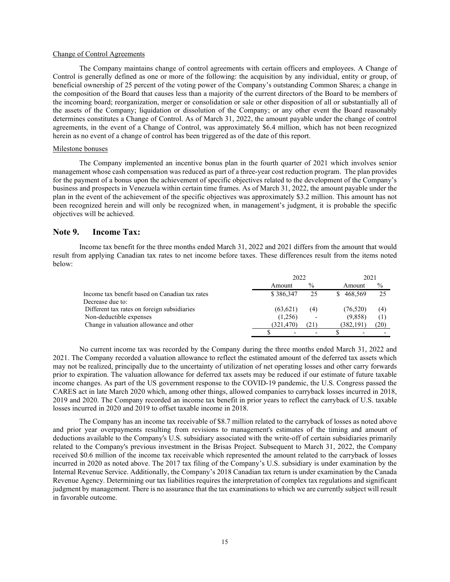#### Change of Control Agreements

The Company maintains change of control agreements with certain officers and employees. A Change of Control is generally defined as one or more of the following: the acquisition by any individual, entity or group, of beneficial ownership of 25 percent of the voting power of the Company's outstanding Common Shares; a change in the composition of the Board that causes less than a majority of the current directors of the Board to be members of the incoming board; reorganization, merger or consolidation or sale or other disposition of all or substantially all of the assets of the Company; liquidation or dissolution of the Company; or any other event the Board reasonably determines constitutes a Change of Control. As of March 31, 2022, the amount payable under the change of control agreements, in the event of a Change of Control, was approximately \$6.4 million, which has not been recognized herein as no event of a change of control has been triggered as of the date of this report.

#### Milestone bonuses

The Company implemented an incentive bonus plan in the fourth quarter of 2021 which involves senior management whose cash compensation was reduced as part of a three-year cost reduction program. The plan provides for the payment of a bonus upon the achievement of specific objectives related to the development of the Company's business and prospects in Venezuela within certain time frames. As of March 31, 2022, the amount payable under the plan in the event of the achievement of the specific objectives was approximately \$3.2 million. This amount has not been recognized herein and will only be recognized when, in management's judgment, it is probable the specific objectives will be achieved.

#### **Note 9. Income Tax:**

Income tax benefit for the three months ended March 31, 2022 and 2021 differs from the amount that would result from applying Canadian tax rates to net income before taxes. These differences result from the items noted below:

|                                                | 2022      |               | 2021       |      |  |
|------------------------------------------------|-----------|---------------|------------|------|--|
|                                                | Amount    | $\frac{0}{0}$ | Amount     | $\%$ |  |
| Income tax benefit based on Canadian tax rates | \$386,347 | 25            | 468.569    |      |  |
| Decrease due to:                               |           |               |            |      |  |
| Different tax rates on foreign subsidiaries    | (63.621)  | (4)           | (76, 520)  | (4)  |  |
| Non-deductible expenses                        | (1,256)   |               | (9.858)    | (1   |  |
| Change in valuation allowance and other        | (321.470) | 21)           | (382, 191) | (20) |  |
|                                                |           |               |            |      |  |

No current income tax was recorded by the Company during the three months ended March 31, 2022 and 2021. The Company recorded a valuation allowance to reflect the estimated amount of the deferred tax assets which may not be realized, principally due to the uncertainty of utilization of net operating losses and other carry forwards prior to expiration. The valuation allowance for deferred tax assets may be reduced if our estimate of future taxable income changes. As part of the US government response to the COVID-19 pandemic, the U.S. Congress passed the CARES act in late March 2020 which, among other things, allowed companies to carryback losses incurred in 2018, 2019 and 2020. The Company recorded an income tax benefit in prior years to reflect the carryback of U.S. taxable losses incurred in 2020 and 2019 to offset taxable income in 2018.

The Company has an income tax receivable of \$8.7 million related to the carryback of losses as noted above and prior year overpayments resulting from revisions to management's estimates of the timing and amount of deductions available to the Company's U.S. subsidiary associated with the write-off of certain subsidiaries primarily related to the Company's previous investment in the Brisas Project. Subsequent to March 31, 2022, the Company received \$0.6 million of the income tax receivable which represented the amount related to the carryback of losses incurred in 2020 as noted above. The 2017 tax filing of the Company's U.S. subsidiary is under examination by the Internal Revenue Service. Additionally, the Company's 2018 Canadian tax return is under examination by the Canada Revenue Agency. Determining our tax liabilities requires the interpretation of complex tax regulations and significant judgment by management. There is no assurance that the tax examinations to which we are currently subject will result in favorable outcome.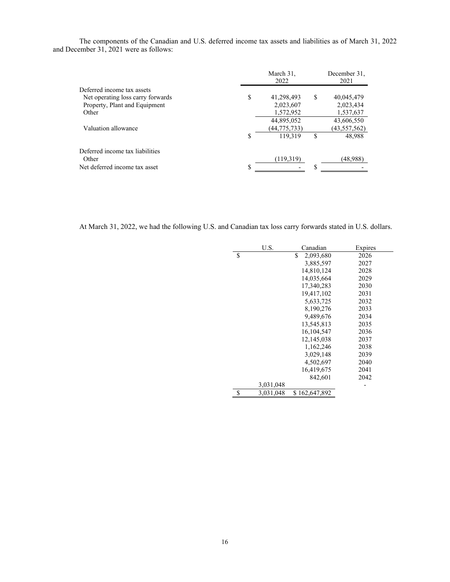The components of the Canadian and U.S. deferred income tax assets and liabilities as of March 31, 2022 and December 31, 2021 were as follows:

|    | March 31,<br>2022 |    | December 31,<br>2021 |
|----|-------------------|----|----------------------|
|    |                   |    |                      |
| S  | 41,298,493        | S  | 40,045,479           |
|    | 2,023,607         |    | 2,023,434            |
|    | 1,572,952         |    | 1,537,637            |
|    | 44,895,052        |    | 43,606,550           |
|    | (44,775,733)      |    | (43, 557, 562)       |
| \$ | 119.319           | \$ | 48,988               |
|    |                   |    |                      |
|    | (119,319)         |    | (48,988)             |
| S  |                   |    |                      |
|    |                   |    |                      |

At March 31, 2022, we had the following U.S. and Canadian tax loss carry forwards stated in U.S. dollars.

| U.S.            | Canadian        | Expires |
|-----------------|-----------------|---------|
| \$              | \$<br>2,093,680 | 2026    |
|                 | 3,885,597       | 2027    |
|                 | 14,810,124      | 2028    |
|                 | 14,035,664      | 2029    |
|                 | 17,340,283      | 2030    |
|                 | 19,417,102      | 2031    |
|                 | 5,633,725       | 2032    |
|                 | 8,190,276       | 2033    |
|                 | 9,489,676       | 2034    |
|                 | 13,545,813      | 2035    |
|                 | 16, 104, 547    | 2036    |
|                 | 12,145,038      | 2037    |
|                 | 1,162,246       | 2038    |
|                 | 3,029,148       | 2039    |
|                 | 4,502,697       | 2040    |
|                 | 16,419,675      | 2041    |
|                 | 842,601         | 2042    |
| 3,031,048       |                 |         |
| \$<br>3,031,048 | \$162,647,892   |         |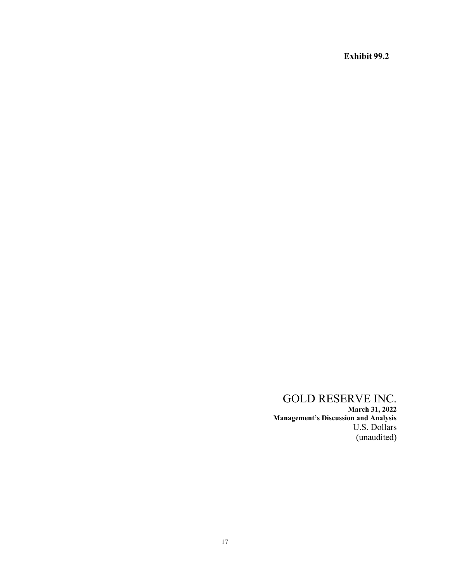**Exhibit 99.2** 

# GOLD RESERVE INC.

**March 31, 2022 Management's Discussion and Analysis** U.S. Dollars (unaudited)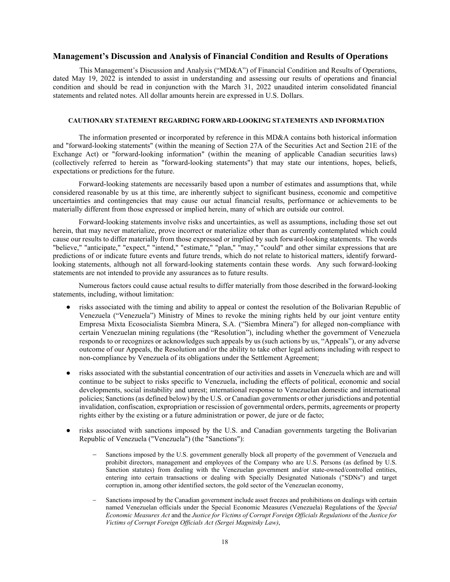### **Management's Discussion and Analysis of Financial Condition and Results of Operations**

This Management's Discussion and Analysis ("MD&A") of Financial Condition and Results of Operations, dated May 19, 2022 is intended to assist in understanding and assessing our results of operations and financial condition and should be read in conjunction with the March 31, 2022 unaudited interim consolidated financial statements and related notes. All dollar amounts herein are expressed in U.S. Dollars.

#### **CAUTIONARY STATEMENT REGARDING FORWARD-LOOKING STATEMENTS AND INFORMATION**

The information presented or incorporated by reference in this MD&A contains both historical information and "forward-looking statements" (within the meaning of Section 27A of the Securities Act and Section 21E of the Exchange Act) or "forward-looking information" (within the meaning of applicable Canadian securities laws) (collectively referred to herein as "forward-looking statements") that may state our intentions, hopes, beliefs, expectations or predictions for the future.

Forward-looking statements are necessarily based upon a number of estimates and assumptions that, while considered reasonable by us at this time, are inherently subject to significant business, economic and competitive uncertainties and contingencies that may cause our actual financial results, performance or achievements to be materially different from those expressed or implied herein, many of which are outside our control.

Forward-looking statements involve risks and uncertainties, as well as assumptions, including those set out herein, that may never materialize, prove incorrect or materialize other than as currently contemplated which could cause our results to differ materially from those expressed or implied by such forward-looking statements. The words "believe," "anticipate," "expect," "intend," "estimate," "plan," "may," "could" and other similar expressions that are predictions of or indicate future events and future trends, which do not relate to historical matters, identify forwardlooking statements, although not all forward-looking statements contain these words. Any such forward-looking statements are not intended to provide any assurances as to future results.

Numerous factors could cause actual results to differ materially from those described in the forward-looking statements, including, without limitation:

- risks associated with the timing and ability to appeal or contest the resolution of the Bolivarian Republic of Venezuela ("Venezuela") Ministry of Mines to revoke the mining rights held by our joint venture entity Empresa Mixta Ecosocialista Siembra Minera, S.A. ("Siembra Minera") for alleged non-compliance with certain Venezuelan mining regulations (the "Resolution"), including whether the government of Venezuela responds to or recognizes or acknowledges such appeals by us (such actions by us, "Appeals"), or any adverse outcome of our Appeals, the Resolution and/or the ability to take other legal actions including with respect to non-compliance by Venezuela of its obligations under the Settlement Agreement;
- risks associated with the substantial concentration of our activities and assets in Venezuela which are and will continue to be subject to risks specific to Venezuela, including the effects of political, economic and social developments, social instability and unrest; international response to Venezuelan domestic and international policies; Sanctions(as defined below) by the U.S. or Canadian governments or other jurisdictions and potential invalidation, confiscation, expropriation or rescission of governmental orders, permits, agreements or property rights either by the existing or a future administration or power, de jure or de facto;
- risks associated with sanctions imposed by the U.S. and Canadian governments targeting the Bolivarian Republic of Venezuela ("Venezuela") (the "Sanctions"):
	- Sanctions imposed by the U.S. government generally block all property of the government of Venezuela and prohibit directors, management and employees of the Company who are U.S. Persons (as defined by U.S. Sanction statutes) from dealing with the Venezuelan government and/or state-owned/controlled entities, entering into certain transactions or dealing with Specially Designated Nationals ("SDNs") and target corruption in, among other identified sectors, the gold sector of the Venezuelan economy,
	- Sanctions imposed by the Canadian government include asset freezes and prohibitions on dealings with certain named Venezuelan officials under the Special Economic Measures (Venezuela) Regulations of the *Special Economic Measures Act* and the *Justice for Victims of Corrupt Foreign Officials Regulations* of the *Justice for Victims of Corrupt Foreign Officials Act (Sergei Magnitsky Law)*,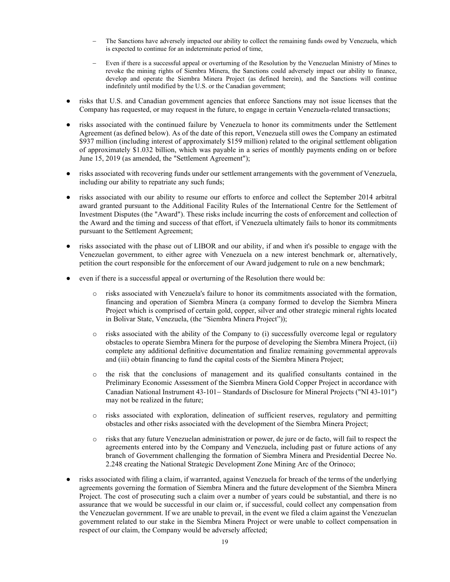- The Sanctions have adversely impacted our ability to collect the remaining funds owed by Venezuela, which is expected to continue for an indeterminate period of time,
- − Even if there is a successful appeal or overturning of the Resolution by the Venezuelan Ministry of Mines to revoke the mining rights of Siembra Minera, the Sanctions could adversely impact our ability to finance, develop and operate the Siembra Minera Project (as defined herein), and the Sanctions will continue indefinitely until modified by the U.S. or the Canadian government;
- risks that U.S. and Canadian government agencies that enforce Sanctions may not issue licenses that the Company has requested, or may request in the future, to engage in certain Venezuela-related transactions;
- risks associated with the continued failure by Venezuela to honor its commitments under the Settlement Agreement (as defined below). As of the date of this report, Venezuela still owes the Company an estimated \$937 million (including interest of approximately \$159 million) related to the original settlement obligation of approximately \$1.032 billion, which was payable in a series of monthly payments ending on or before June 15, 2019 (as amended, the "Settlement Agreement");
- risks associated with recovering funds under our settlement arrangements with the government of Venezuela, including our ability to repatriate any such funds;
- risks associated with our ability to resume our efforts to enforce and collect the September 2014 arbitral award granted pursuant to the Additional Facility Rules of the International Centre for the Settlement of Investment Disputes (the "Award"). These risks include incurring the costs of enforcement and collection of the Award and the timing and success of that effort, if Venezuela ultimately fails to honor its commitments pursuant to the Settlement Agreement;
- risks associated with the phase out of LIBOR and our ability, if and when it's possible to engage with the Venezuelan government, to either agree with Venezuela on a new interest benchmark or, alternatively, petition the court responsible for the enforcement of our Award judgement to rule on a new benchmark;
- even if there is a successful appeal or overturning of the Resolution there would be:
	- o risks associated with Venezuela's failure to honor its commitments associated with the formation, financing and operation of Siembra Minera (a company formed to develop the Siembra Minera Project which is comprised of certain gold, copper, silver and other strategic mineral rights located in Bolivar State, Venezuela, (the "Siembra Minera Project"));
	- o risks associated with the ability of the Company to (i) successfully overcome legal or regulatory obstacles to operate Siembra Minera for the purpose of developing the Siembra Minera Project, (ii) complete any additional definitive documentation and finalize remaining governmental approvals and (iii) obtain financing to fund the capital costs of the Siembra Minera Project;
	- o the risk that the conclusions of management and its qualified consultants contained in the Preliminary Economic Assessment of the Siembra Minera Gold Copper Project in accordance with Canadian National Instrument 43-101− Standards of Disclosure for Mineral Projects ("NI 43-101") may not be realized in the future;
	- o risks associated with exploration, delineation of sufficient reserves, regulatory and permitting obstacles and other risks associated with the development of the Siembra Minera Project;
	- o risks that any future Venezuelan administration or power, de jure or de facto, will fail to respect the agreements entered into by the Company and Venezuela, including past or future actions of any branch of Government challenging the formation of Siembra Minera and Presidential Decree No. 2.248 creating the National Strategic Development Zone Mining Arc of the Orinoco;
- risks associated with filing a claim, if warranted, against Venezuela for breach of the terms of the underlying agreements governing the formation of Siembra Minera and the future development of the Siembra Minera Project. The cost of prosecuting such a claim over a number of years could be substantial, and there is no assurance that we would be successful in our claim or, if successful, could collect any compensation from the Venezuelan government. If we are unable to prevail, in the event we filed a claim against the Venezuelan government related to our stake in the Siembra Minera Project or were unable to collect compensation in respect of our claim, the Company would be adversely affected;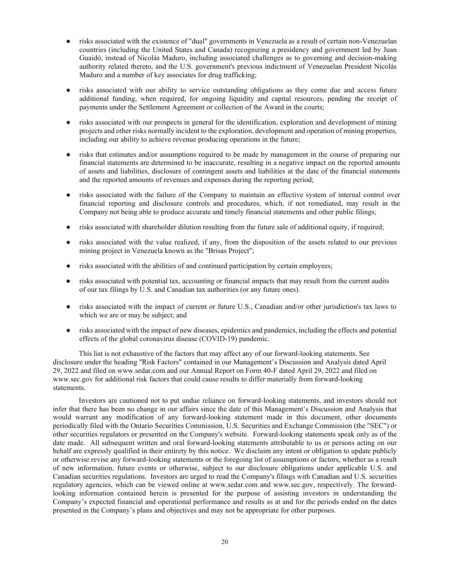- risks associated with the existence of "dual" governments in Venezuela as a result of certain non-Venezuelan countries (including the United States and Canada) recognizing a presidency and government led by Juan Guaidó, instead of Nicolás Maduro, including associated challenges as to governing and decision-making authority related thereto, and the U.S. government's previous indictment of Venezuelan President Nicolás Maduro and a number of key associates for drug trafficking;
- risks associated with our ability to service outstanding obligations as they come due and access future additional funding, when required, for ongoing liquidity and capital resources, pending the receipt of payments under the Settlement Agreement or collection of the Award in the courts;
- risks associated with our prospects in general for the identification, exploration and development of mining projects and other risks normally incident to the exploration, development and operation of mining properties, including our ability to achieve revenue producing operations in the future;
- risks that estimates and/or assumptions required to be made by management in the course of preparing our financial statements are determined to be inaccurate, resulting in a negative impact on the reported amounts of assets and liabilities, disclosure of contingent assets and liabilities at the date of the financial statements and the reported amounts of revenues and expenses during the reporting period;
- risks associated with the failure of the Company to maintain an effective system of internal control over financial reporting and disclosure controls and procedures, which, if not remediated, may result in the Company not being able to produce accurate and timely financial statements and other public filings;
- risks associated with shareholder dilution resulting from the future sale of additional equity, if required;
- risks associated with the value realized, if any, from the disposition of the assets related to our previous mining project in Venezuela known as the "Brisas Project";
- risks associated with the abilities of and continued participation by certain employees;
- risks associated with potential tax, accounting or financial impacts that may result from the current audits of our tax filings by U.S. and Canadian tax authorities (or any future ones).
- risks associated with the impact of current or future U.S., Canadian and/or other jurisdiction's tax laws to which we are or may be subject; and
- risks associated with the impact of new diseases, epidemics and pandemics, including the effects and potential effects of the global coronavirus disease (COVID-19) pandemic.

This list is not exhaustive of the factors that may affect any of our forward-looking statements. See disclosure under the heading "Risk Factors" contained in our Management's Discussion and Analysis dated April 29, 2022 and filed on www.sedar.com and our Annual Report on Form 40-F dated April 29, 2022 and filed on www.sec.gov for additional risk factors that could cause results to differ materially from forward-looking statements.

Investors are cautioned not to put undue reliance on forward-looking statements, and investors should not infer that there has been no change in our affairs since the date of this Management's Discussion and Analysis that would warrant any modification of any forward-looking statement made in this document, other documents periodically filed with the Ontario Securities Commission, U.S. Securities and Exchange Commission (the "SEC") or other securities regulators or presented on the Company's website. Forward-looking statements speak only as of the date made. All subsequent written and oral forward-looking statements attributable to us or persons acting on our behalf are expressly qualified in their entirety by this notice. We disclaim any intent or obligation to update publicly or otherwise revise any forward-looking statements or the foregoing list of assumptions or factors, whether as a result of new information, future events or otherwise, subject to our disclosure obligations under applicable U.S. and Canadian securities regulations. Investors are urged to read the Company's filings with Canadian and U.S. securities regulatory agencies, which can be viewed online at www.sedar.com and www.sec.gov, respectively. The forwardlooking information contained herein is presented for the purpose of assisting investors in understanding the Company's expected financial and operational performance and results as at and for the periods ended on the dates presented in the Company's plans and objectives and may not be appropriate for other purposes.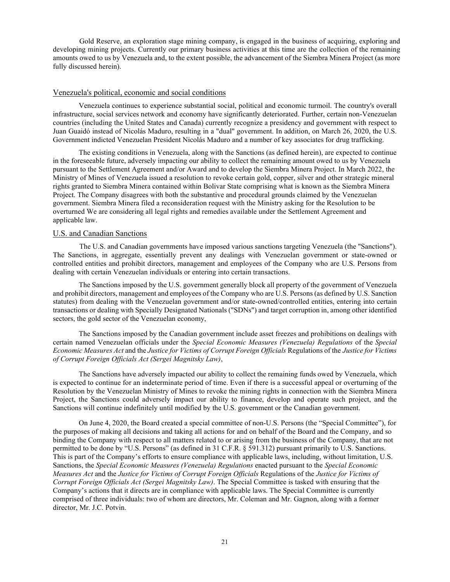Gold Reserve, an exploration stage mining company, is engaged in the business of acquiring, exploring and developing mining projects. Currently our primary business activities at this time are the collection of the remaining amounts owed to us by Venezuela and, to the extent possible, the advancement of the Siembra Minera Project (as more fully discussed herein).

### Venezuela's political, economic and social conditions

Venezuela continues to experience substantial social, political and economic turmoil. The country's overall infrastructure, social services network and economy have significantly deteriorated. Further, certain non-Venezuelan countries (including the United States and Canada) currently recognize a presidency and government with respect to Juan Guaidó instead of Nicolás Maduro, resulting in a "dual" government. In addition, on March 26, 2020, the U.S. Government indicted Venezuelan President Nicolás Maduro and a number of key associates for drug trafficking.

The existing conditions in Venezuela, along with the Sanctions (as defined herein), are expected to continue in the foreseeable future, adversely impacting our ability to collect the remaining amount owed to us by Venezuela pursuant to the Settlement Agreement and/or Award and to develop the Siembra Minera Project. In March 2022, the Ministry of Mines of Venezuela issued a resolution to revoke certain gold, copper, silver and other strategic mineral rights granted to Siembra Minera contained within Bolivar State comprising what is known as the Siembra Minera Project. The Company disagrees with both the substantive and procedural grounds claimed by the Venezuelan government. Siembra Minera filed a reconsideration request with the Ministry asking for the Resolution to be overturned We are considering all legal rights and remedies available under the Settlement Agreement and applicable law.

#### U.S. and Canadian Sanctions

The U.S. and Canadian governments have imposed various sanctions targeting Venezuela (the "Sanctions"). The Sanctions, in aggregate, essentially prevent any dealings with Venezuelan government or state-owned or controlled entities and prohibit directors, management and employees of the Company who are U.S. Persons from dealing with certain Venezuelan individuals or entering into certain transactions.

The Sanctions imposed by the U.S. government generally block all property of the government of Venezuela and prohibit directors, management and employees of the Company who are U.S. Persons (as defined by U.S. Sanction statutes) from dealing with the Venezuelan government and/or state-owned/controlled entities, entering into certain transactions or dealing with Specially Designated Nationals ("SDNs") and target corruption in, among other identified sectors, the gold sector of the Venezuelan economy,

The Sanctions imposed by the Canadian government include asset freezes and prohibitions on dealings with certain named Venezuelan officials under the *Special Economic Measures (Venezuela) Regulations* of the *Special Economic Measures Act* and the *Justice for Victims of Corrupt Foreign Officials* Regulations of the *Justice for Victims of Corrupt Foreign Officials Act (Sergei Magnitsky Law)*,

The Sanctions have adversely impacted our ability to collect the remaining funds owed by Venezuela, which is expected to continue for an indeterminate period of time. Even if there is a successful appeal or overturning of the Resolution by the Venezuelan Ministry of Mines to revoke the mining rights in connection with the Siembra Minera Project, the Sanctions could adversely impact our ability to finance, develop and operate such project, and the Sanctions will continue indefinitely until modified by the U.S. government or the Canadian government.

On June 4, 2020, the Board created a special committee of non-U.S. Persons (the "Special Committee"), for the purposes of making all decisions and taking all actions for and on behalf of the Board and the Company, and so binding the Company with respect to all matters related to or arising from the business of the Company, that are not permitted to be done by "U.S. Persons" (as defined in 31 C.F.R. § 591.312) pursuant primarily to U.S. Sanctions. This is part of the Company's efforts to ensure compliance with applicable laws, including, without limitation, U.S. Sanctions, the *Special Economic Measures (Venezuela) Regulations* enacted pursuant to the *Special Economic Measures Act* and the *Justice for Victims of Corrupt Foreign Officials* Regulations of the *Justice for Victims of Corrupt Foreign Officials Act (Sergei Magnitsky Law)*. The Special Committee is tasked with ensuring that the Company's actions that it directs are in compliance with applicable laws. The Special Committee is currently comprised of three individuals: two of whom are directors, Mr. Coleman and Mr. Gagnon, along with a former director, Mr. J.C. Potvin.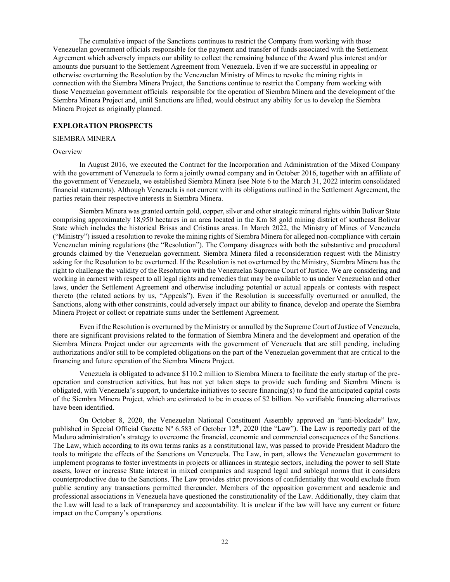The cumulative impact of the Sanctions continues to restrict the Company from working with those Venezuelan government officials responsible for the payment and transfer of funds associated with the Settlement Agreement which adversely impacts our ability to collect the remaining balance of the Award plus interest and/or amounts due pursuant to the Settlement Agreement from Venezuela. Even if we are successful in appealing or otherwise overturning the Resolution by the Venezuelan Ministry of Mines to revoke the mining rights in connection with the Siembra Minera Project, the Sanctions continue to restrict the Company from working with those Venezuelan government officials responsible for the operation of Siembra Minera and the development of the Siembra Minera Project and, until Sanctions are lifted, would obstruct any ability for us to develop the Siembra Minera Project as originally planned.

#### **EXPLORATION PROSPECTS**

#### SIEMBRA MINERA

#### **Overview**

In August 2016, we executed the Contract for the Incorporation and Administration of the Mixed Company with the government of Venezuela to form a jointly owned company and in October 2016, together with an affiliate of the government of Venezuela, we established Siembra Minera (see Note 6 to the March 31, 2022 interim consolidated financial statements). Although Venezuela is not current with its obligations outlined in the Settlement Agreement, the parties retain their respective interests in Siembra Minera.

Siembra Minera was granted certain gold, copper, silver and other strategic mineral rights within Bolivar State comprising approximately 18,950 hectares in an area located in the Km 88 gold mining district of southeast Bolivar State which includes the historical Brisas and Cristinas areas. In March 2022, the Ministry of Mines of Venezuela ("Ministry") issued a resolution to revoke the mining rights of Siembra Minera for alleged non-compliance with certain Venezuelan mining regulations (the "Resolution"). The Company disagrees with both the substantive and procedural grounds claimed by the Venezuelan government. Siembra Minera filed a reconsideration request with the Ministry asking for the Resolution to be overturned. If the Resolution is not overturned by the Ministry, Siembra Minera has the right to challenge the validity of the Resolution with the Venezuelan Supreme Court of Justice. We are considering and working in earnest with respect to all legal rights and remedies that may be available to us under Venezuelan and other laws, under the Settlement Agreement and otherwise including potential or actual appeals or contests with respect thereto (the related actions by us, "Appeals"). Even if the Resolution is successfully overturned or annulled, the Sanctions, along with other constraints, could adversely impact our ability to finance, develop and operate the Siembra Minera Project or collect or repatriate sums under the Settlement Agreement.

Even if the Resolution is overturned by the Ministry or annulled by the Supreme Court of Justice of Venezuela, there are significant provisions related to the formation of Siembra Minera and the development and operation of the Siembra Minera Project under our agreements with the government of Venezuela that are still pending, including authorizations and/or still to be completed obligations on the part of the Venezuelan government that are critical to the financing and future operation of the Siembra Minera Project.

Venezuela is obligated to advance \$110.2 million to Siembra Minera to facilitate the early startup of the preoperation and construction activities, but has not yet taken steps to provide such funding and Siembra Minera is obligated, with Venezuela's support, to undertake initiatives to secure financing(s) to fund the anticipated capital costs of the Siembra Minera Project, which are estimated to be in excess of \$2 billion. No verifiable financing alternatives have been identified.

On October 8, 2020, the Venezuelan National Constituent Assembly approved an "anti-blockade" law, published in Special Official Gazette  $N^{\circ}$  6.583 of October 12<sup>th</sup>, 2020 (the "Law"). The Law is reportedly part of the Maduro administration's strategy to overcome the financial, economic and commercial consequences of the Sanctions. The Law, which according to its own terms ranks as a constitutional law, was passed to provide President Maduro the tools to mitigate the effects of the Sanctions on Venezuela. The Law, in part, allows the Venezuelan government to implement programs to foster investments in projects or alliances in strategic sectors, including the power to sell State assets, lower or increase State interest in mixed companies and suspend legal and sublegal norms that it considers counterproductive due to the Sanctions. The Law provides strict provisions of confidentiality that would exclude from public scrutiny any transactions permitted thereunder. Members of the opposition government and academic and professional associations in Venezuela have questioned the constitutionality of the Law. Additionally, they claim that the Law will lead to a lack of transparency and accountability. It is unclear if the law will have any current or future impact on the Company's operations.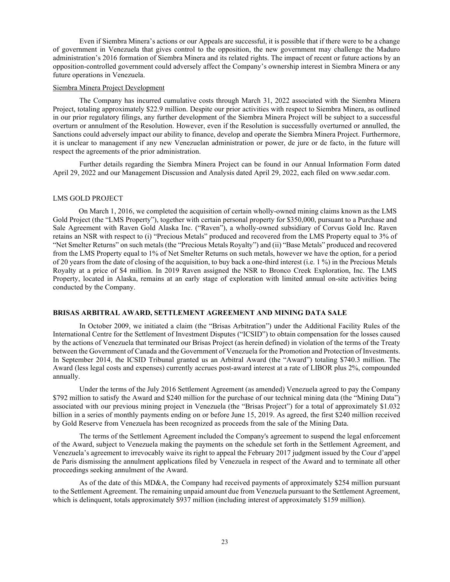Even if Siembra Minera's actions or our Appeals are successful, it is possible that if there were to be a change of government in Venezuela that gives control to the opposition, the new government may challenge the Maduro administration's 2016 formation of Siembra Minera and its related rights. The impact of recent or future actions by an opposition-controlled government could adversely affect the Company's ownership interest in Siembra Minera or any future operations in Venezuela.

#### Siembra Minera Project Development

The Company has incurred cumulative costs through March 31, 2022 associated with the Siembra Minera Project, totaling approximately \$22.9 million. Despite our prior activities with respect to Siembra Minera, as outlined in our prior regulatory filings, any further development of the Siembra Minera Project will be subject to a successful overturn or annulment of the Resolution. However, even if the Resolution is successfully overturned or annulled, the Sanctions could adversely impact our ability to finance, develop and operate the Siembra Minera Project. Furthermore, it is unclear to management if any new Venezuelan administration or power, de jure or de facto, in the future will respect the agreements of the prior administration.

Further details regarding the Siembra Minera Project can be found in our Annual Information Form dated April 29, 2022 and our Management Discussion and Analysis dated April 29, 2022, each filed on www.sedar.com.

#### LMS GOLD PROJECT

On March 1, 2016, we completed the acquisition of certain wholly-owned mining claims known as the LMS Gold Project (the "LMS Property"), together with certain personal property for \$350,000, pursuant to a Purchase and Sale Agreement with Raven Gold Alaska Inc. ("Raven"), a wholly-owned subsidiary of Corvus Gold Inc. Raven retains an NSR with respect to (i) "Precious Metals" produced and recovered from the LMS Property equal to 3% of "Net Smelter Returns" on such metals (the "Precious Metals Royalty") and (ii) "Base Metals" produced and recovered from the LMS Property equal to 1% of Net Smelter Returns on such metals, however we have the option, for a period of 20 years from the date of closing of the acquisition, to buy back a one-third interest (i.e. 1 %) in the Precious Metals Royalty at a price of \$4 million. In 2019 Raven assigned the NSR to Bronco Creek Exploration, Inc. The LMS Property, located in Alaska, remains at an early stage of exploration with limited annual on-site activities being conducted by the Company.

#### **BRISAS ARBITRAL AWARD, SETTLEMENT AGREEMENT AND MINING DATA SALE**

In October 2009, we initiated a claim (the "Brisas Arbitration") under the Additional Facility Rules of the International Centre for the Settlement of Investment Disputes ("ICSID") to obtain compensation for the losses caused by the actions of Venezuela that terminated our Brisas Project (as herein defined) in violation of the terms of the Treaty between the Government of Canada and the Government of Venezuela for the Promotion and Protection of Investments. In September 2014, the ICSID Tribunal granted us an Arbitral Award (the "Award") totaling \$740.3 million. The Award (less legal costs and expenses) currently accrues post-award interest at a rate of LIBOR plus 2%, compounded annually.

Under the terms of the July 2016 Settlement Agreement (as amended) Venezuela agreed to pay the Company \$792 million to satisfy the Award and \$240 million for the purchase of our technical mining data (the "Mining Data") associated with our previous mining project in Venezuela (the "Brisas Project") for a total of approximately \$1.032 billion in a series of monthly payments ending on or before June 15, 2019. As agreed, the first \$240 million received by Gold Reserve from Venezuela has been recognized as proceeds from the sale of the Mining Data.

The terms of the Settlement Agreement included the Company's agreement to suspend the legal enforcement of the Award, subject to Venezuela making the payments on the schedule set forth in the Settlement Agreement, and Venezuela's agreement to irrevocably waive its right to appeal the February 2017 judgment issued by the Cour d'appel de Paris dismissing the annulment applications filed by Venezuela in respect of the Award and to terminate all other proceedings seeking annulment of the Award.

As of the date of this MD&A, the Company had received payments of approximately \$254 million pursuant to the Settlement Agreement. The remaining unpaid amount due from Venezuela pursuant to the Settlement Agreement, which is delinquent, totals approximately \$937 million (including interest of approximately \$159 million).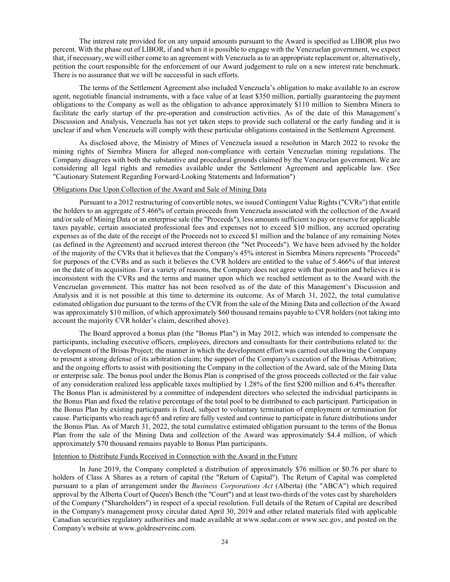The interest rate provided for on any unpaid amounts pursuant to the Award is specified as LIBOR plus two percent. With the phase out of LIBOR, if and when it is possible to engage with the Venezuelan government, we expect that, if necessary, we will either come to an agreement with Venezuela as to an appropriate replacement or, alternatively, petition the court responsible for the enforcement of our Award judgement to rule on a new interest rate benchmark. There is no assurance that we will be successful in such efforts.

The terms of the Settlement Agreement also included Venezuela's obligation to make available to an escrow agent, negotiable financial instruments, with a face value of at least \$350 million, partially guaranteeing the payment obligations to the Company as well as the obligation to advance approximately \$110 million to Siembra Minera to facilitate the early startup of the pre-operation and construction activities. As of the date of this Management's Discussion and Analysis, Venezuela has not yet taken steps to provide such collateral or the early funding and it is unclear if and when Venezuela will comply with these particular obligations contained in the Settlement Agreement.

As disclosed above, the Ministry of Mines of Venezuela issued a resolution in March 2022 to revoke the mining rights of Siembra Minera for alleged non-compliance with certain Venezuelan mining regulations. The Company disagrees with both the substantive and procedural grounds claimed by the Venezuelan government. We are considering all legal rights and remedies available under the Settlement Agreement and applicable law. (See "Cautionary Statement Regarding Forward-Looking Statements and Information")

#### Obligations Due Upon Collection of the Award and Sale of Mining Data

Pursuant to a 2012 restructuring of convertible notes, we issued Contingent Value Rights ("CVRs") that entitle the holders to an aggregate of 5.466% of certain proceeds from Venezuela associated with the collection of the Award and/or sale of Mining Data or an enterprise sale (the "Proceeds"), less amounts sufficient to pay or reserve for applicable taxes payable, certain associated professional fees and expenses not to exceed \$10 million, any accrued operating expenses as of the date of the receipt of the Proceeds not to exceed \$1 million and the balance of any remaining Notes (as defined in the Agreement) and accrued interest thereon (the "Net Proceeds"). We have been advised by the holder of the majority of the CVRs that it believes that the Company's 45% interest in Siembra Minera represents "Proceeds" for purposes of the CVRs and as such it believes the CVR holders are entitled to the value of 5.466% of that interest on the date of its acquisition. For a variety of reasons, the Company does not agree with that position and believes it is inconsistent with the CVRs and the terms and manner upon which we reached settlement as to the Award with the Venezuelan government. This matter has not been resolved as of the date of this Management's Discussion and Analysis and it is not possible at this time to determine its outcome. As of March 31, 2022, the total cumulative estimated obligation due pursuant to the terms of the CVR from the sale of the Mining Data and collection of the Award was approximately \$10 million, of which approximately \$60 thousand remains payable to CVR holders (not taking into account the majority CVR holder's claim, described above).

The Board approved a bonus plan (the "Bonus Plan") in May 2012, which was intended to compensate the participants, including executive officers, employees, directors and consultants for their contributions related to: the development of the Brisas Project; the manner in which the development effort was carried out allowing the Company to present a strong defense of its arbitration claim; the support of the Company's execution of the Brisas Arbitration; and the ongoing efforts to assist with positioning the Company in the collection of the Award, sale of the Mining Data or enterprise sale. The bonus pool under the Bonus Plan is comprised of the gross proceeds collected or the fair value of any consideration realized less applicable taxes multiplied by 1.28% of the first \$200 million and 6.4% thereafter. The Bonus Plan is administered by a committee of independent directors who selected the individual participants in the Bonus Plan and fixed the relative percentage of the total pool to be distributed to each participant. Participation in the Bonus Plan by existing participants is fixed, subject to voluntary termination of employment or termination for cause. Participants who reach age 65 and retire are fully vested and continue to participate in future distributions under the Bonus Plan. As of March 31, 2022, the total cumulative estimated obligation pursuant to the terms of the Bonus Plan from the sale of the Mining Data and collection of the Award was approximately \$4.4 million, of which approximately \$70 thousand remains payable to Bonus Plan participants.

#### Intention to Distribute Funds Received in Connection with the Award in the Future

In June 2019, the Company completed a distribution of approximately \$76 million or \$0.76 per share to holders of Class A Shares as a return of capital (the "Return of Capital"). The Return of Capital was completed pursuant to a plan of arrangement under the *Business Corporations Act* (Alberta) (the "ABCA") which required approval by the Alberta Court of Queen's Bench (the "Court") and at least two-thirds of the votes cast by shareholders of the Company ("Shareholders") in respect of a special resolution. Full details of the Return of Capital are described in the Company's management proxy circular dated April 30, 2019 and other related materials filed with applicable Canadian securities regulatory authorities and made available at www.sedar.com or www.sec.gov, and posted on the Company's website at www.goldreserveinc.com.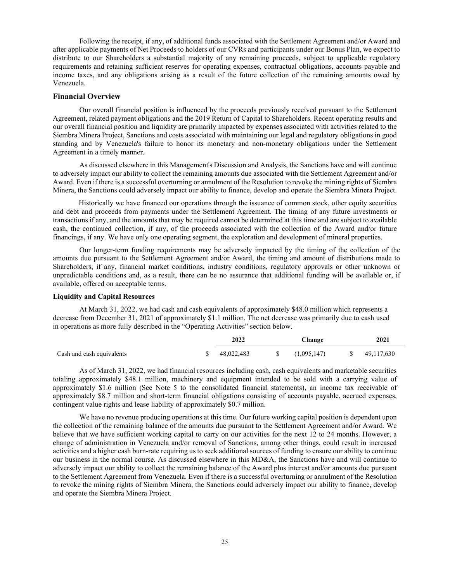Following the receipt, if any, of additional funds associated with the Settlement Agreement and/or Award and after applicable payments of Net Proceeds to holders of our CVRs and participants under our Bonus Plan, we expect to distribute to our Shareholders a substantial majority of any remaining proceeds, subject to applicable regulatory requirements and retaining sufficient reserves for operating expenses, contractual obligations, accounts payable and income taxes, and any obligations arising as a result of the future collection of the remaining amounts owed by Venezuela.

#### **Financial Overview**

Our overall financial position is influenced by the proceeds previously received pursuant to the Settlement Agreement, related payment obligations and the 2019 Return of Capital to Shareholders. Recent operating results and our overall financial position and liquidity are primarily impacted by expenses associated with activities related to the Siembra Minera Project, Sanctions and costs associated with maintaining our legal and regulatory obligations in good standing and by Venezuela's failure to honor its monetary and non-monetary obligations under the Settlement Agreement in a timely manner.

As discussed elsewhere in this Management's Discussion and Analysis, the Sanctions have and will continue to adversely impact our ability to collect the remaining amounts due associated with the Settlement Agreement and/or Award. Even if there is a successful overturning or annulment of the Resolution to revoke the mining rights of Siembra Minera, the Sanctions could adversely impact our ability to finance, develop and operate the Siembra Minera Project.

Historically we have financed our operations through the issuance of common stock, other equity securities and debt and proceeds from payments under the Settlement Agreement. The timing of any future investments or transactions if any, and the amounts that may be required cannot be determined at this time and are subject to available cash, the continued collection, if any, of the proceeds associated with the collection of the Award and/or future financings, if any. We have only one operating segment, the exploration and development of mineral properties.

Our longer-term funding requirements may be adversely impacted by the timing of the collection of the amounts due pursuant to the Settlement Agreement and/or Award, the timing and amount of distributions made to Shareholders, if any, financial market conditions, industry conditions, regulatory approvals or other unknown or unpredictable conditions and, as a result, there can be no assurance that additional funding will be available or, if available, offered on acceptable terms.

#### **Liquidity and Capital Resources**

At March 31, 2022, we had cash and cash equivalents of approximately \$48.0 million which represents a decrease from December 31, 2021 of approximately \$1.1 million. The net decrease was primarily due to cash used in operations as more fully described in the "Operating Activities" section below.

|                           | 2022       | Change      | 2021       |
|---------------------------|------------|-------------|------------|
| Cash and cash equivalents | 48.022.483 | (1,095,147) | 49,117,630 |

As of March 31, 2022, we had financial resources including cash, cash equivalents and marketable securities totaling approximately \$48.1 million, machinery and equipment intended to be sold with a carrying value of approximately \$1.6 million (See Note 5 to the consolidated financial statements), an income tax receivable of approximately \$8.7 million and short-term financial obligations consisting of accounts payable, accrued expenses, contingent value rights and lease liability of approximately \$0.7 million.

We have no revenue producing operations at this time. Our future working capital position is dependent upon the collection of the remaining balance of the amounts due pursuant to the Settlement Agreement and/or Award. We believe that we have sufficient working capital to carry on our activities for the next 12 to 24 months. However, a change of administration in Venezuela and/or removal of Sanctions, among other things, could result in increased activities and a higher cash burn-rate requiring us to seek additional sources of funding to ensure our ability to continue our business in the normal course. As discussed elsewhere in this MD&A, the Sanctions have and will continue to adversely impact our ability to collect the remaining balance of the Award plus interest and/or amounts due pursuant to the Settlement Agreement from Venezuela. Even if there is a successful overturning or annulment of the Resolution to revoke the mining rights of Siembra Minera, the Sanctions could adversely impact our ability to finance, develop and operate the Siembra Minera Project.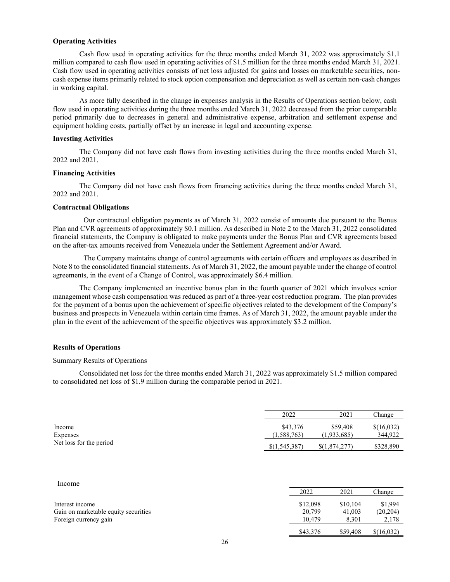#### **Operating Activities**

Cash flow used in operating activities for the three months ended March 31, 2022 was approximately \$1.1 million compared to cash flow used in operating activities of \$1.5 million for the three months ended March 31, 2021. Cash flow used in operating activities consists of net loss adjusted for gains and losses on marketable securities, noncash expense items primarily related to stock option compensation and depreciation as well as certain non-cash changes in working capital.

As more fully described in the change in expenses analysis in the Results of Operations section below, cash flow used in operating activities during the three months ended March 31, 2022 decreased from the prior comparable period primarily due to decreases in general and administrative expense, arbitration and settlement expense and equipment holding costs, partially offset by an increase in legal and accounting expense.

#### **Investing Activities**

The Company did not have cash flows from investing activities during the three months ended March 31, 2022 and 2021.

#### **Financing Activities**

The Company did not have cash flows from financing activities during the three months ended March 31, 2022 and 2021.

#### **Contractual Obligations**

Our contractual obligation payments as of March 31, 2022 consist of amounts due pursuant to the Bonus Plan and CVR agreements of approximately \$0.1 million. As described in Note 2 to the March 31, 2022 consolidated financial statements, the Company is obligated to make payments under the Bonus Plan and CVR agreements based on the after-tax amounts received from Venezuela under the Settlement Agreement and/or Award.

The Company maintains change of control agreements with certain officers and employees as described in Note 8 to the consolidated financial statements. As of March 31, 2022, the amount payable under the change of control agreements, in the event of a Change of Control, was approximately \$6.4 million.

The Company implemented an incentive bonus plan in the fourth quarter of 2021 which involves senior management whose cash compensation was reduced as part of a three-year cost reduction program. The plan provides for the payment of a bonus upon the achievement of specific objectives related to the development of the Company's business and prospects in Venezuela within certain time frames. As of March 31, 2022, the amount payable under the plan in the event of the achievement of the specific objectives was approximately \$3.2 million.

#### **Results of Operations**

#### Summary Results of Operations

Consolidated net loss for the three months ended March 31, 2022 was approximately \$1.5 million compared to consolidated net loss of \$1.9 million during the comparable period in 2021.

|                         | 2022          | 2021          | Change     |
|-------------------------|---------------|---------------|------------|
| Income                  | \$43,376      | \$59,408      | \$(16,032) |
| Expenses                | (1,588,763)   | (1,933,685)   | 344,922    |
| Net loss for the period | \$(1,545,387) | \$(1,874,277) | \$328,890  |

2022 2021 Change

\$43,376 \$59,408 \$(16,032)

#### Income

Interest income \$12,098 \$10,104 \$1,994 Gain on marketable equity securities  $20,799$  41,003 (20,204)<br>Foreign currency gain  $10,479$  8.301 2.178 Foreign currency gain 2,178 8,301 2,178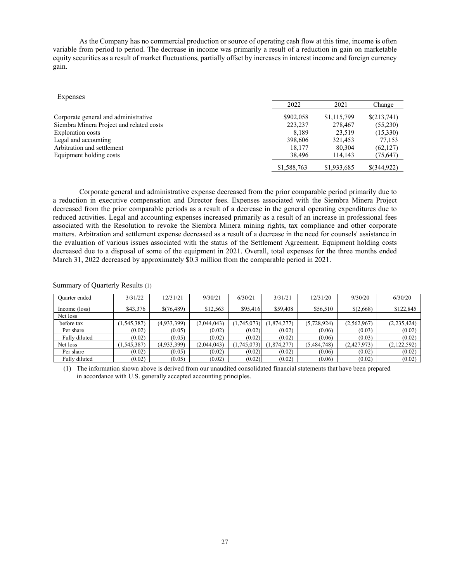As the Company has no commercial production or source of operating cash flow at this time, income is often variable from period to period. The decrease in income was primarily a result of a reduction in gain on marketable equity securities as a result of market fluctuations, partially offset by increases in interest income and foreign currency gain.

| <b>Expenses</b>                          |             |             |             |
|------------------------------------------|-------------|-------------|-------------|
|                                          | 2022        | 2021        | Change      |
| Corporate general and administrative     | \$902,058   | \$1,115,799 | \$(213,741) |
| Siembra Minera Project and related costs | 223,237     | 278,467     | (55,230)    |
| <b>Exploration</b> costs                 | 8.189       | 23.519      | (15,330)    |
| Legal and accounting                     | 398,606     | 321,453     | 77,153      |
| Arbitration and settlement               | 18,177      | 80,304      | (62, 127)   |
| Equipment holding costs                  | 38,496      | 114,143     | (75, 647)   |
|                                          | \$1,588,763 | \$1,933,685 | \$(344,922) |

Corporate general and administrative expense decreased from the prior comparable period primarily due to a reduction in executive compensation and Director fees. Expenses associated with the Siembra Minera Project decreased from the prior comparable periods as a result of a decrease in the general operating expenditures due to reduced activities. Legal and accounting expenses increased primarily as a result of an increase in professional fees associated with the Resolution to revoke the Siembra Minera mining rights, tax compliance and other corporate matters. Arbitration and settlement expense decreased as a result of a decrease in the need for counsels' assistance in the evaluation of various issues associated with the status of the Settlement Agreement. Equipment holding costs decreased due to a disposal of some of the equipment in 2021. Overall, total expenses for the three months ended March 31, 2022 decreased by approximately \$0.3 million from the comparable period in 2021.

| Ouarter ended | 3/31/22    | 12/31/21    | 9/30/21     | 6/30/21     | 3/31/21     | 12/31/20    | 9/30/20     | 6/30/20     |
|---------------|------------|-------------|-------------|-------------|-------------|-------------|-------------|-------------|
|               |            |             |             |             |             |             |             |             |
| Income (loss) | \$43,376   | \$(76,489)  | \$12,563    | \$95,416    | \$59,408    | \$56,510    | \$(2,668)   | \$122,845   |
| Net loss      |            |             |             |             |             |             |             |             |
| before tax    | 1,545,387) | (4,933,399) | (2.044.043) | (1,745,073) | (1,874,277) | (5,728,924) | (2,562,967) | (2,235,424) |
| Per share     | (0.02)     | (0.05)      | (0.02)      | (0.02)      | (0.02)      | (0.06)      | (0.03)      | (0.02)      |
| Fully diluted | (0.02)     | (0.05)      | (0.02)      | (0.02)      | (0.02)      | (0.06)      | (0.03)      | (0.02)      |
| Net loss      | 1,545,387) | (4,933,399) | (2,044,043) | (1,745,073) | (1,874,277) | (5,484,748) | (2,427,973) | (2,122,592) |
| Per share     | (0.02)     | (0.05)      | (0.02)      | (0.02)      | (0.02)      | (0.06)      | (0.02)      | (0.02)      |
| Fully diluted | (0.02)     | (0.05)      | (0.02)      | (0.02)      | (0.02)      | (0.06)      | (0.02)      | (0.02)      |

Summary of Quarterly Results (1)

(1) The information shown above is derived from our unaudited consolidated financial statements that have been prepared in accordance with U.S. generally accepted accounting principles.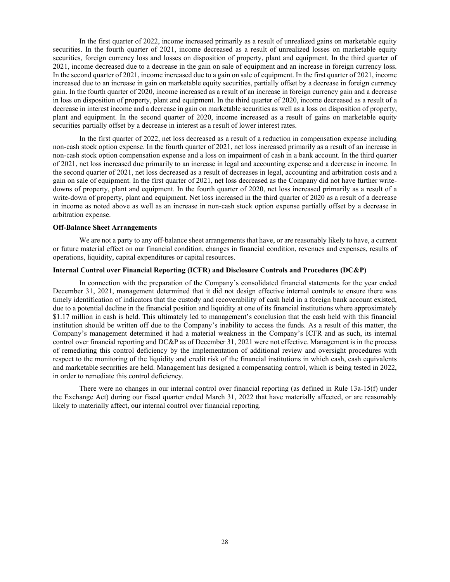In the first quarter of 2022, income increased primarily as a result of unrealized gains on marketable equity securities. In the fourth quarter of 2021, income decreased as a result of unrealized losses on marketable equity securities, foreign currency loss and losses on disposition of property, plant and equipment. In the third quarter of 2021, income decreased due to a decrease in the gain on sale of equipment and an increase in foreign currency loss. In the second quarter of 2021, income increased due to a gain on sale of equipment. In the first quarter of 2021, income increased due to an increase in gain on marketable equity securities, partially offset by a decrease in foreign currency gain. In the fourth quarter of 2020, income increased as a result of an increase in foreign currency gain and a decrease in loss on disposition of property, plant and equipment. In the third quarter of 2020, income decreased as a result of a decrease in interest income and a decrease in gain on marketable securities as well as a loss on disposition of property, plant and equipment. In the second quarter of 2020, income increased as a result of gains on marketable equity securities partially offset by a decrease in interest as a result of lower interest rates.

In the first quarter of 2022, net loss decreased as a result of a reduction in compensation expense including non-cash stock option expense. In the fourth quarter of 2021, net loss increased primarily as a result of an increase in non-cash stock option compensation expense and a loss on impairment of cash in a bank account. In the third quarter of 2021, net loss increased due primarily to an increase in legal and accounting expense and a decrease in income. In the second quarter of 2021, net loss decreased as a result of decreases in legal, accounting and arbitration costs and a gain on sale of equipment. In the first quarter of 2021, net loss decreased as the Company did not have further writedowns of property, plant and equipment. In the fourth quarter of 2020, net loss increased primarily as a result of a write-down of property, plant and equipment. Net loss increased in the third quarter of 2020 as a result of a decrease in income as noted above as well as an increase in non-cash stock option expense partially offset by a decrease in arbitration expense.

#### **Off-Balance Sheet Arrangements**

We are not a party to any off-balance sheet arrangements that have, or are reasonably likely to have, a current or future material effect on our financial condition, changes in financial condition, revenues and expenses, results of operations, liquidity, capital expenditures or capital resources.

#### **Internal Control over Financial Reporting (ICFR) and Disclosure Controls and Procedures (DC&P)**

In connection with the preparation of the Company's consolidated financial statements for the year ended December 31, 2021, management determined that it did not design effective internal controls to ensure there was timely identification of indicators that the custody and recoverability of cash held in a foreign bank account existed, due to a potential decline in the financial position and liquidity at one of its financial institutions where approximately \$1.17 million in cash is held. This ultimately led to management's conclusion that the cash held with this financial institution should be written off due to the Company's inability to access the funds. As a result of this matter, the Company's management determined it had a material weakness in the Company's ICFR and as such, its internal control over financial reporting and DC&P as of December 31, 2021 were not effective. Management is in the process of remediating this control deficiency by the implementation of additional review and oversight procedures with respect to the monitoring of the liquidity and credit risk of the financial institutions in which cash, cash equivalents and marketable securities are held. Management has designed a compensating control, which is being tested in 2022, in order to remediate this control deficiency.

There were no changes in our internal control over financial reporting (as defined in Rule 13a-15(f) under the Exchange Act) during our fiscal quarter ended March 31, 2022 that have materially affected, or are reasonably likely to materially affect, our internal control over financial reporting.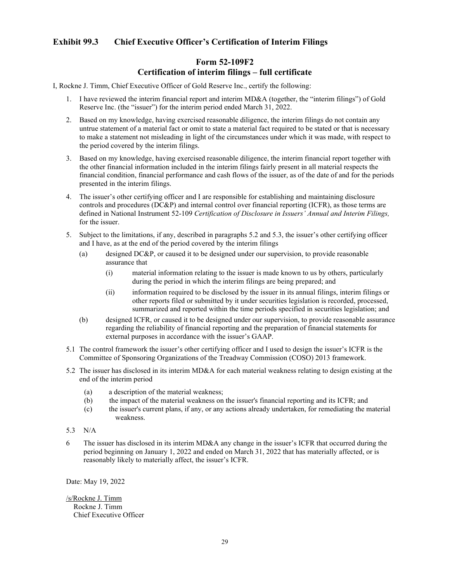# **Exhibit 99.3 Chief Executive Officer's Certification of Interim Filings**

# **Form 52-109F2 Certification of interim filings – full certificate**

I, Rockne J. Timm, Chief Executive Officer of Gold Reserve Inc., certify the following:

- 1. I have reviewed the interim financial report and interim MD&A (together, the "interim filings") of Gold Reserve Inc. (the "issuer") for the interim period ended March 31, 2022.
- 2. Based on my knowledge, having exercised reasonable diligence, the interim filings do not contain any untrue statement of a material fact or omit to state a material fact required to be stated or that is necessary to make a statement not misleading in light of the circumstances under which it was made, with respect to the period covered by the interim filings.
- 3. Based on my knowledge, having exercised reasonable diligence, the interim financial report together with the other financial information included in the interim filings fairly present in all material respects the financial condition, financial performance and cash flows of the issuer, as of the date of and for the periods presented in the interim filings.
- 4. The issuer's other certifying officer and I are responsible for establishing and maintaining disclosure controls and procedures (DC&P) and internal control over financial reporting (ICFR), as those terms are defined in National Instrument 52-109 *Certification of Disclosure in Issuers' Annual and Interim Filings,*  for the issuer.
- 5. Subject to the limitations, if any, described in paragraphs 5.2 and 5.3, the issuer's other certifying officer and I have, as at the end of the period covered by the interim filings
	- (a) designed DC&P, or caused it to be designed under our supervision, to provide reasonable assurance that
		- (i) material information relating to the issuer is made known to us by others, particularly during the period in which the interim filings are being prepared; and
		- (ii) information required to be disclosed by the issuer in its annual filings, interim filings or other reports filed or submitted by it under securities legislation is recorded, processed, summarized and reported within the time periods specified in securities legislation; and
	- (b) designed ICFR, or caused it to be designed under our supervision, to provide reasonable assurance regarding the reliability of financial reporting and the preparation of financial statements for external purposes in accordance with the issuer's GAAP.
- 5.1 The control framework the issuer's other certifying officer and I used to design the issuer's ICFR is the Committee of Sponsoring Organizations of the Treadway Commission (COSO) 2013 framework.
- 5.2 The issuer has disclosed in its interim MD&A for each material weakness relating to design existing at the end of the interim period
	- (a) a description of the material weakness;
	- (b) the impact of the material weakness on the issuer's financial reporting and its ICFR; and
	- (c) the issuer's current plans, if any, or any actions already undertaken, for remediating the material weakness.
- 5.3 N/A
- 6 The issuer has disclosed in its interim MD&A any change in the issuer's ICFR that occurred during the period beginning on January 1, 2022 and ended on March 31, 2022 that has materially affected, or is reasonably likely to materially affect, the issuer's ICFR.

Date: May 19, 2022

/s/Rockne J. Timm Rockne J. Timm Chief Executive Officer